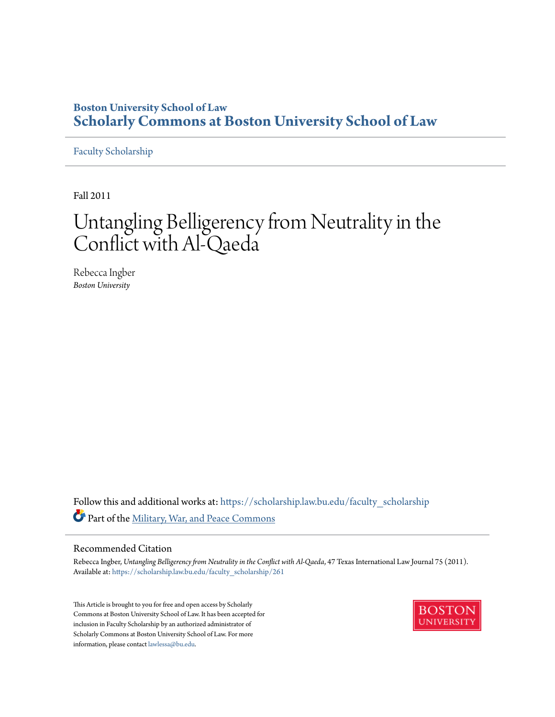# **Boston University School of Law [Scholarly Commons at Boston University School of Law](https://scholarship.law.bu.edu?utm_source=scholarship.law.bu.edu%2Ffaculty_scholarship%2F261&utm_medium=PDF&utm_campaign=PDFCoverPages)**

[Faculty Scholarship](https://scholarship.law.bu.edu/faculty_scholarship?utm_source=scholarship.law.bu.edu%2Ffaculty_scholarship%2F261&utm_medium=PDF&utm_campaign=PDFCoverPages)

Fall 2011

# Untangling Belligerency from Neutrality in the Conflict with Al-Qaeda

Rebecca Ingber *Boston University*

Follow this and additional works at: [https://scholarship.law.bu.edu/faculty\\_scholarship](https://scholarship.law.bu.edu/faculty_scholarship?utm_source=scholarship.law.bu.edu%2Ffaculty_scholarship%2F261&utm_medium=PDF&utm_campaign=PDFCoverPages) Part of the [Military, War, and Peace Commons](http://network.bepress.com/hgg/discipline/861?utm_source=scholarship.law.bu.edu%2Ffaculty_scholarship%2F261&utm_medium=PDF&utm_campaign=PDFCoverPages)

# Recommended Citation

Rebecca Ingber, *Untangling Belligerency from Neutrality in the Conflict with Al-Qaeda*, 47 Texas International Law Journal 75 (2011). Available at: [https://scholarship.law.bu.edu/faculty\\_scholarship/261](https://scholarship.law.bu.edu/faculty_scholarship/261?utm_source=scholarship.law.bu.edu%2Ffaculty_scholarship%2F261&utm_medium=PDF&utm_campaign=PDFCoverPages)

This Article is brought to you for free and open access by Scholarly Commons at Boston University School of Law. It has been accepted for inclusion in Faculty Scholarship by an authorized administrator of Scholarly Commons at Boston University School of Law. For more information, please contact [lawlessa@bu.edu.](mailto:lawlessa@bu.edu)

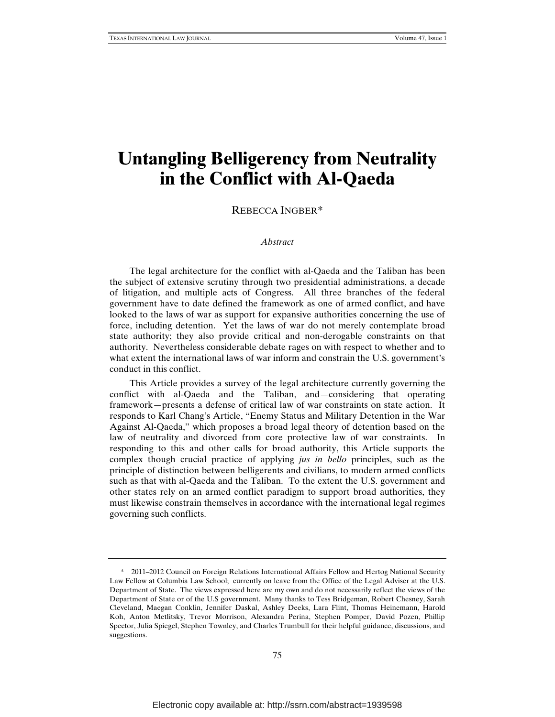# **Untangling Belligerency from Neutrality in the Conflict with Al-Qaeda**

REBECCA INGBER\*

#### *Abstract*

The legal architecture for the conflict with al-Qaeda and the Taliban has been the subject of extensive scrutiny through two presidential administrations, a decade of litigation, and multiple acts of Congress. All three branches of the federal government have to date defined the framework as one of armed conflict, and have looked to the laws of war as support for expansive authorities concerning the use of force, including detention. Yet the laws of war do not merely contemplate broad state authority; they also provide critical and non-derogable constraints on that authority. Nevertheless considerable debate rages on with respect to whether and to what extent the international laws of war inform and constrain the U.S. government's conduct in this conflict.

This Article provides a survey of the legal architecture currently governing the conflict with al-Qaeda and the Taliban, and—considering that operating framework—presents a defense of critical law of war constraints on state action. It responds to Karl Chang's Article, "Enemy Status and Military Detention in the War Against Al-Qaeda," which proposes a broad legal theory of detention based on the law of neutrality and divorced from core protective law of war constraints. In responding to this and other calls for broad authority, this Article supports the complex though crucial practice of applying *jus in bello* principles, such as the principle of distinction between belligerents and civilians, to modern armed conflicts such as that with al-Qaeda and the Taliban. To the extent the U.S. government and other states rely on an armed conflict paradigm to support broad authorities, they must likewise constrain themselves in accordance with the international legal regimes governing such conflicts.

<sup>\* 2011–2012</sup> Council on Foreign Relations International Affairs Fellow and Hertog National Security Law Fellow at Columbia Law School; currently on leave from the Office of the Legal Adviser at the U.S. Department of State. The views expressed here are my own and do not necessarily reflect the views of the Department of State or of the U.S government. Many thanks to Tess Bridgeman, Robert Chesney, Sarah Cleveland, Maegan Conklin, Jennifer Daskal, Ashley Deeks, Lara Flint, Thomas Heinemann, Harold Koh, Anton Metlitsky, Trevor Morrison, Alexandra Perina, Stephen Pomper, David Pozen, Phillip Spector, Julia Spiegel, Stephen Townley, and Charles Trumbull for their helpful guidance, discussions, and suggestions.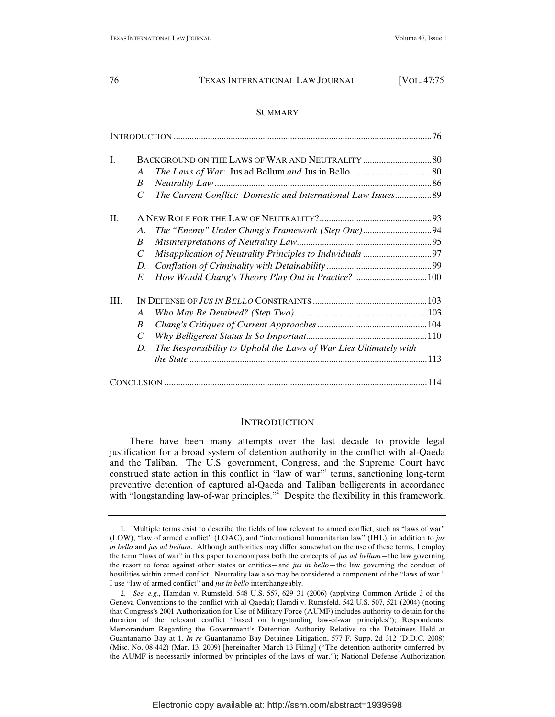# SUMMARY

| I.  |                    |                                                                   |  |
|-----|--------------------|-------------------------------------------------------------------|--|
|     | $\mathcal{A}$ .    |                                                                   |  |
|     | В.                 |                                                                   |  |
|     | C.                 | The Current Conflict: Domestic and International Law Issues89     |  |
| II. |                    |                                                                   |  |
|     | A.                 |                                                                   |  |
|     | В.                 |                                                                   |  |
|     | C.                 |                                                                   |  |
|     | D.                 |                                                                   |  |
|     | E.                 | How Would Chang's Theory Play Out in Practice? 100                |  |
| Ш.  |                    |                                                                   |  |
|     | A.                 |                                                                   |  |
|     | $\boldsymbol{B}$ . |                                                                   |  |
|     | $C_{\cdot}$        |                                                                   |  |
|     | D.                 | The Responsibility to Uphold the Laws of War Lies Ultimately with |  |
|     |                    |                                                                   |  |
|     |                    |                                                                   |  |

# **INTRODUCTION**

There have been many attempts over the last decade to provide legal justification for a broad system of detention authority in the conflict with al-Qaeda and the Taliban. The U.S. government, Congress, and the Supreme Court have construed state action in this conflict in "law of war"<sup>1</sup> terms, sanctioning long-term preventive detention of captured al-Qaeda and Taliban belligerents in accordance with "longstanding law-of-war principles."<sup>2</sup> Despite the flexibility in this framework,

<sup>1.</sup> Multiple terms exist to describe the fields of law relevant to armed conflict, such as "laws of war" (LOW), "law of armed conflict" (LOAC), and "international humanitarian law" (IHL), in addition to *jus in bello* and *jus ad bellum*. Although authorities may differ somewhat on the use of these terms, I employ the term "laws of war" in this paper to encompass both the concepts of *jus ad bellum*—the law governing the resort to force against other states or entities—and *jus in bello*—the law governing the conduct of hostilities within armed conflict. Neutrality law also may be considered a component of the "laws of war." I use "law of armed conflict" and *jus in bello* interchangeably.

<sup>2.</sup> *See, e.g.*, Hamdan v. Rumsfeld, 548 U.S. 557, 629–31 (2006) (applying Common Article 3 of the Geneva Conventions to the conflict with al-Qaeda); Hamdi v. Rumsfeld, 542 U.S. 507, 521 (2004) (noting that Congress's 2001 Authorization for Use of Military Force (AUMF) includes authority to detain for the duration of the relevant conflict "based on longstanding law-of-war principles"); Respondents' Memorandum Regarding the Government's Detention Authority Relative to the Detainees Held at Guantanamo Bay at 1, *In re* Guantanamo Bay Detainee Litigation, 577 F. Supp. 2d 312 (D.D.C. 2008) (Misc. No. 08-442) (Mar. 13, 2009) [hereinafter March 13 Filing] ("The detention authority conferred by the AUMF is necessarily informed by principles of the laws of war."); National Defense Authorization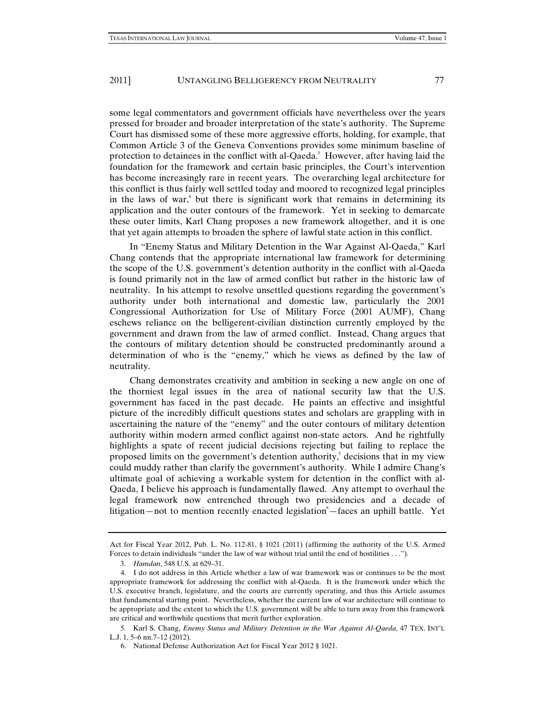some legal commentators and government officials have nevertheless over the years pressed for broader and broader interpretation of the state's authority. The Supreme Court has dismissed some of these more aggressive efforts, holding, for example, that Common Article 3 of the Geneva Conventions provides some minimum baseline of protection to detainees in the conflict with al-Qaeda.<sup>3</sup> However, after having laid the foundation for the framework and certain basic principles, the Court's intervention has become increasingly rare in recent years. The overarching legal architecture for this conflict is thus fairly well settled today and moored to recognized legal principles in the laws of war,<sup>4</sup> but there is significant work that remains in determining its application and the outer contours of the framework. Yet in seeking to demarcate these outer limits, Karl Chang proposes a new framework altogether, and it is one that yet again attempts to broaden the sphere of lawful state action in this conflict.

In "Enemy Status and Military Detention in the War Against Al-Qaeda," Karl Chang contends that the appropriate international law framework for determining the scope of the U.S. government's detention authority in the conflict with al-Qaeda is found primarily not in the law of armed conflict but rather in the historic law of neutrality. In his attempt to resolve unsettled questions regarding the government's authority under both international and domestic law, particularly the 2001 Congressional Authorization for Use of Military Force (2001 AUMF), Chang eschews reliance on the belligerent-civilian distinction currently employed by the government and drawn from the law of armed conflict. Instead, Chang argues that the contours of military detention should be constructed predominantly around a determination of who is the "enemy," which he views as defined by the law of neutrality.

Chang demonstrates creativity and ambition in seeking a new angle on one of the thorniest legal issues in the area of national security law that the U.S. government has faced in the past decade. He paints an effective and insightful picture of the incredibly difficult questions states and scholars are grappling with in ascertaining the nature of the "enemy" and the outer contours of military detention authority within modern armed conflict against non-state actors. And he rightfully highlights a spate of recent judicial decisions rejecting but failing to replace the proposed limits on the government's detention authority, $\delta$  decisions that in my view could muddy rather than clarify the government's authority. While I admire Chang's ultimate goal of achieving a workable system for detention in the conflict with al-Qaeda, I believe his approach is fundamentally flawed. Any attempt to overhaul the legal framework now entrenched through two presidencies and a decade of litigation—not to mention recently enacted legislation <sup>6</sup>—faces an uphill battle. Yet

Act for Fiscal Year 2012, Pub. L. No. 112-81, § 1021 (2011) (affirming the authority of the U.S. Armed Forces to detain individuals "under the law of war without trial until the end of hostilities . . .").

<sup>3.</sup> *Hamdan*, 548 U.S. at 629–31.

<sup>4.</sup> I do not address in this Article whether a law of war framework was or continues to be the most appropriate framework for addressing the conflict with al-Qaeda. It is the framework under which the U.S. executive branch, legislature, and the courts are currently operating, and thus this Article assumes that fundamental starting point. Nevertheless, whether the current law of war architecture will continue to be appropriate and the extent to which the U.S. government will be able to turn away from this framework are critical and worthwhile questions that merit further exploration.

<sup>5.</sup> Karl S. Chang, *Enemy Status and Military Detention in the War Against Al-Qaeda*, 47 TEX. INT'L L.J. 1, 5–6 nn.7–12 (2012).

<sup>6.</sup> National Defense Authorization Act for Fiscal Year 2012 § 1021.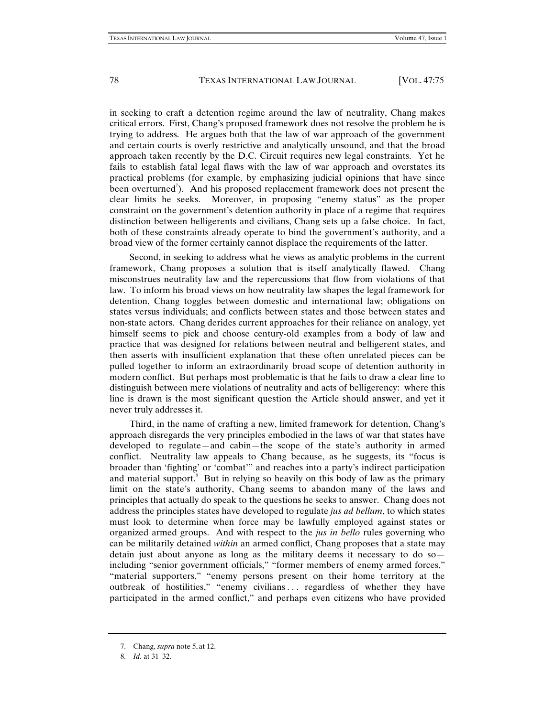in seeking to craft a detention regime around the law of neutrality, Chang makes critical errors. First, Chang's proposed framework does not resolve the problem he is trying to address. He argues both that the law of war approach of the government and certain courts is overly restrictive and analytically unsound, and that the broad approach taken recently by the D.C. Circuit requires new legal constraints. Yet he fails to establish fatal legal flaws with the law of war approach and overstates its practical problems (for example, by emphasizing judicial opinions that have since been overturned<sup>7</sup>). And his proposed replacement framework does not present the clear limits he seeks. Moreover, in proposing "enemy status" as the proper constraint on the government's detention authority in place of a regime that requires distinction between belligerents and civilians, Chang sets up a false choice. In fact, both of these constraints already operate to bind the government's authority, and a broad view of the former certainly cannot displace the requirements of the latter.

Second, in seeking to address what he views as analytic problems in the current framework, Chang proposes a solution that is itself analytically flawed. Chang misconstrues neutrality law and the repercussions that flow from violations of that law. To inform his broad views on how neutrality law shapes the legal framework for detention, Chang toggles between domestic and international law; obligations on states versus individuals; and conflicts between states and those between states and non-state actors. Chang derides current approaches for their reliance on analogy, yet himself seems to pick and choose century-old examples from a body of law and practice that was designed for relations between neutral and belligerent states, and then asserts with insufficient explanation that these often unrelated pieces can be pulled together to inform an extraordinarily broad scope of detention authority in modern conflict. But perhaps most problematic is that he fails to draw a clear line to distinguish between mere violations of neutrality and acts of belligerency: where this line is drawn is the most significant question the Article should answer, and yet it never truly addresses it.

Third, in the name of crafting a new, limited framework for detention, Chang's approach disregards the very principles embodied in the laws of war that states have developed to regulate—and cabin—the scope of the state's authority in armed conflict. Neutrality law appeals to Chang because, as he suggests, its "focus is broader than 'fighting' or 'combat'" and reaches into a party's indirect participation and material support.<sup>8</sup> But in relying so heavily on this body of law as the primary limit on the state's authority, Chang seems to abandon many of the laws and principles that actually do speak to the questions he seeks to answer. Chang does not address the principles states have developed to regulate *jus ad bellum*, to which states must look to determine when force may be lawfully employed against states or organized armed groups. And with respect to the *jus in bello* rules governing who can be militarily detained *within* an armed conflict, Chang proposes that a state may detain just about anyone as long as the military deems it necessary to do so including "senior government officials," "former members of enemy armed forces," "material supporters," "enemy persons present on their home territory at the outbreak of hostilities," "enemy civilians ... regardless of whether they have participated in the armed conflict," and perhaps even citizens who have provided

<sup>7.</sup> Chang, *supra* note 5, at 12.

<sup>8.</sup> *Id.* at 31–32.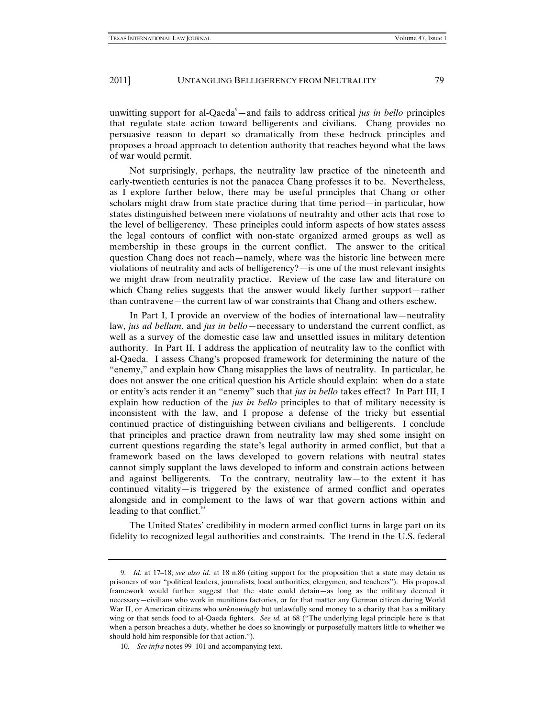unwitting support for al-Qaeda<sup>9</sup>—and fails to address critical *jus in bello* principles that regulate state action toward belligerents and civilians. Chang provides no persuasive reason to depart so dramatically from these bedrock principles and proposes a broad approach to detention authority that reaches beyond what the laws of war would permit.

Not surprisingly, perhaps, the neutrality law practice of the nineteenth and early-twentieth centuries is not the panacea Chang professes it to be. Nevertheless, as I explore further below, there may be useful principles that Chang or other scholars might draw from state practice during that time period—in particular, how states distinguished between mere violations of neutrality and other acts that rose to the level of belligerency. These principles could inform aspects of how states assess the legal contours of conflict with non-state organized armed groups as well as membership in these groups in the current conflict. The answer to the critical question Chang does not reach—namely, where was the historic line between mere violations of neutrality and acts of belligerency?—is one of the most relevant insights we might draw from neutrality practice. Review of the case law and literature on which Chang relies suggests that the answer would likely further support—rather than contravene—the current law of war constraints that Chang and others eschew.

In Part I, I provide an overview of the bodies of international law—neutrality law, *jus ad bellum*, and *jus in bello*—necessary to understand the current conflict, as well as a survey of the domestic case law and unsettled issues in military detention authority. In Part II, I address the application of neutrality law to the conflict with al-Qaeda. I assess Chang's proposed framework for determining the nature of the "enemy," and explain how Chang misapplies the laws of neutrality. In particular, he does not answer the one critical question his Article should explain: when do a state or entity's acts render it an "enemy" such that *jus in bello* takes effect? In Part III, I explain how reduction of the *jus in bello* principles to that of military necessity is inconsistent with the law, and I propose a defense of the tricky but essential continued practice of distinguishing between civilians and belligerents. I conclude that principles and practice drawn from neutrality law may shed some insight on current questions regarding the state's legal authority in armed conflict, but that a framework based on the laws developed to govern relations with neutral states cannot simply supplant the laws developed to inform and constrain actions between and against belligerents. To the contrary, neutrality law—to the extent it has continued vitality—is triggered by the existence of armed conflict and operates alongside and in complement to the laws of war that govern actions within and leading to that conflict. $10$ 

The United States' credibility in modern armed conflict turns in large part on its fidelity to recognized legal authorities and constraints. The trend in the U.S. federal

<sup>9.</sup> *Id.* at 17–18; *see also id.* at 18 n.86 (citing support for the proposition that a state may detain as prisoners of war "political leaders, journalists, local authorities, clergymen, and teachers"). His proposed framework would further suggest that the state could detain—as long as the military deemed it necessary—civilians who work in munitions factories, or for that matter any German citizen during World War II, or American citizens who *unknowingly* but unlawfully send money to a charity that has a military wing or that sends food to al-Qaeda fighters. *See id.* at 68 ("The underlying legal principle here is that when a person breaches a duty, whether he does so knowingly or purposefully matters little to whether we should hold him responsible for that action.").

<sup>10.</sup> *See infra* notes 99–101 and accompanying text.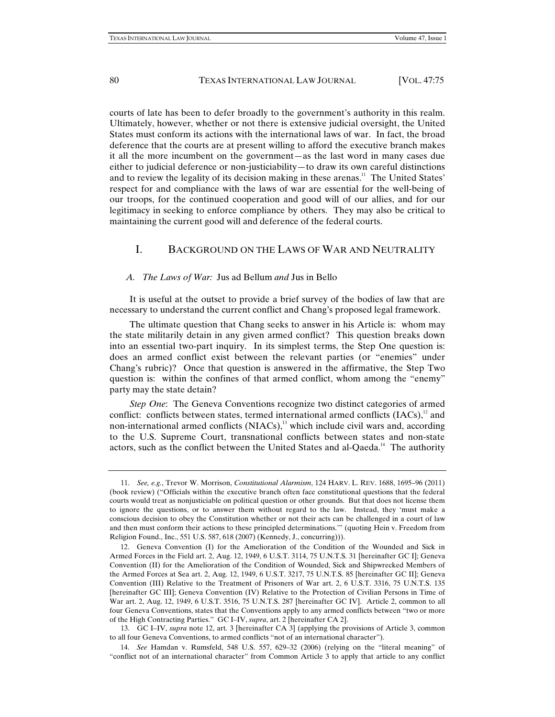courts of late has been to defer broadly to the government's authority in this realm. Ultimately, however, whether or not there is extensive judicial oversight, the United States must conform its actions with the international laws of war. In fact, the broad deference that the courts are at present willing to afford the executive branch makes it all the more incumbent on the government—as the last word in many cases due either to judicial deference or non-justiciability—to draw its own careful distinctions and to review the legality of its decision making in these arenas.<sup>11</sup> The United States' respect for and compliance with the laws of war are essential for the well-being of our troops, for the continued cooperation and good will of our allies, and for our legitimacy in seeking to enforce compliance by others. They may also be critical to maintaining the current good will and deference of the federal courts.

# I. BACKGROUND ON THE LAWS OF WAR AND NEUTRALITY

#### *A. The Laws of War:* Jus ad Bellum *and* Jus in Bello

It is useful at the outset to provide a brief survey of the bodies of law that are necessary to understand the current conflict and Chang's proposed legal framework.

The ultimate question that Chang seeks to answer in his Article is: whom may the state militarily detain in any given armed conflict? This question breaks down into an essential two-part inquiry. In its simplest terms, the Step One question is: does an armed conflict exist between the relevant parties (or "enemies" under Chang's rubric)? Once that question is answered in the affirmative, the Step Two question is: within the confines of that armed conflict, whom among the "enemy" party may the state detain?

*Step One*: The Geneva Conventions recognize two distinct categories of armed conflict: conflicts between states, termed international armed conflicts  $(IACs)$ ,<sup>12</sup> and non-international armed conflicts  $(NIACs)$ ,<sup>13</sup> which include civil wars and, according to the U.S. Supreme Court, transnational conflicts between states and non-state actors, such as the conflict between the United States and al-Qaeda.<sup>14</sup> The authority

<sup>11.</sup> *See, e.g.*, Trevor W. Morrison, *Constitutional Alarmism*, 124 HARV. L. REV. 1688, 1695–96 (2011) (book review) ("Officials within the executive branch often face constitutional questions that the federal courts would treat as nonjusticiable on political question or other grounds. But that does not license them to ignore the questions, or to answer them without regard to the law. Instead, they 'must make a conscious decision to obey the Constitution whether or not their acts can be challenged in a court of law and then must conform their actions to these principled determinations.'" (quoting Hein v. Freedom from Religion Found., Inc., 551 U.S. 587, 618 (2007) (Kennedy, J., concurring))).

<sup>12.</sup> Geneva Convention (I) for the Amelioration of the Condition of the Wounded and Sick in Armed Forces in the Field art. 2, Aug. 12, 1949, 6 U.S.T. 3114, 75 U.N.T.S. 31 [hereinafter GC I]; Geneva Convention (II) for the Amelioration of the Condition of Wounded, Sick and Shipwrecked Members of the Armed Forces at Sea art. 2, Aug. 12, 1949, 6 U.S.T. 3217, 75 U.N.T.S. 85 [hereinafter GC II]; Geneva Convention (III) Relative to the Treatment of Prisoners of War art. 2, 6 U.S.T. 3316, 75 U.N.T.S. 135 [hereinafter GC III]; Geneva Convention (IV) Relative to the Protection of Civilian Persons in Time of War art. 2, Aug. 12, 1949, 6 U.S.T. 3516, 75 U.N.T.S. 287 [hereinafter GC IV]. Article 2, common to all four Geneva Conventions, states that the Conventions apply to any armed conflicts between "two or more of the High Contracting Parties." GC I–IV, *supra*, art. 2 [hereinafter CA 2].

<sup>13.</sup> GC I–IV, *supra* note 12, art. 3 [hereinafter CA 3] (applying the provisions of Article 3, common to all four Geneva Conventions, to armed conflicts "not of an international character").

<sup>14.</sup> *See* Hamdan v. Rumsfeld, 548 U.S. 557, 629–32 (2006) (relying on the "literal meaning" of "conflict not of an international character" from Common Article 3 to apply that article to any conflict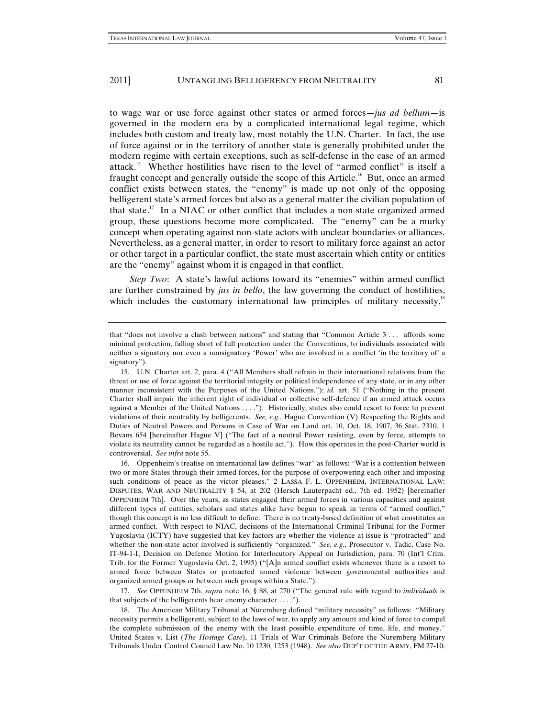to wage war or use force against other states or armed forces—*jus ad bellum*—is governed in the modern era by a complicated international legal regime, which includes both custom and treaty law, most notably the U.N. Charter. In fact, the use of force against or in the territory of another state is generally prohibited under the modern regime with certain exceptions, such as self-defense in the case of an armed attack.15 Whether hostilities have risen to the level of "armed conflict" is itself a fraught concept and generally outside the scope of this Article.<sup>16</sup> But, once an armed conflict exists between states, the "enemy" is made up not only of the opposing belligerent state's armed forces but also as a general matter the civilian population of that state.<sup>17</sup> In a NIAC or other conflict that includes a non-state organized armed group, these questions become more complicated. The "enemy" can be a murky concept when operating against non-state actors with unclear boundaries or alliances. Nevertheless, as a general matter, in order to resort to military force against an actor or other target in a particular conflict, the state must ascertain which entity or entities are the "enemy" against whom it is engaged in that conflict.

*Step Two*: A state's lawful actions toward its "enemies" within armed conflict are further constrained by *jus in bello*, the law governing the conduct of hostilities, which includes the customary international law principles of military necessity, $\frac{1}{2}$ 

17. *See* OPPENHEIM 7th, *supra* note 16, § 88, at 270 ("The general rule with regard to *individuals* is that subjects of the belligerents bear enemy character . . . .").

18. The American Military Tribunal at Nuremberg defined "military necessity" as follows: "Military necessity permits a belligerent, subject to the laws of war, to apply any amount and kind of force to compel the complete submission of the enemy with the least possible expenditure of time, life, and money." United States v. List (*The Hostage Case*), 11 Trials of War Criminals Before the Nuremberg Military Tribunals Under Control Council Law No. 10 1230, 1253 (1948). *See also* DEP'T OF THE ARMY, FM 27-10:

that "does not involve a clash between nations" and stating that "Common Article 3 . . . affords some minimal protection, falling short of full protection under the Conventions, to individuals associated with neither a signatory nor even a nonsignatory 'Power' who are involved in a conflict 'in the territory of' a signatory").

<sup>15.</sup> U.N. Charter art. 2, para. 4 ("All Members shall refrain in their international relations from the threat or use of force against the territorial integrity or political independence of any state, or in any other manner inconsistent with the Purposes of the United Nations."); *id.* art. 51 ("Nothing in the present Charter shall impair the inherent right of individual or collective self-defence if an armed attack occurs against a Member of the United Nations . . . ."). Historically, states also could resort to force to prevent violations of their neutrality by belligerents. *See, e.g.*, Hague Convention (V) Respecting the Rights and Duties of Neutral Powers and Persons in Case of War on Land art. 10, Oct. 18, 1907, 36 Stat. 2310, 1 Bevans 654 [hereinafter Hague V] ("The fact of a neutral Power resisting, even by force, attempts to violate its neutrality cannot be regarded as a hostile act."). How this operates in the post-Charter world is controversial. *See infra* note 55.

<sup>16.</sup> Oppenheim's treatise on international law defines "war" as follows: "War is a contention between two or more States through their armed forces, for the purpose of overpowering each other and imposing such conditions of peace as the victor pleases." 2 LASSA F. L. OPPENHEIM, INTERNATIONAL LAW: DISPUTES, WAR AND NEUTRALITY § 54, at 202 (Hersch Lauterpacht ed., 7th ed. 1952) [hereinafter OPPENHEIM 7th]. Over the years, as states engaged their armed forces in various capacities and against different types of entities, scholars and states alike have begun to speak in terms of "armed conflict," though this concept is no less difficult to define. There is no treaty-based definition of what constitutes an armed conflict. With respect to NIAC, decisions of the International Criminal Tribunal for the Former Yugoslavia (ICTY) have suggested that key factors are whether the violence at issue is "protracted" and whether the non-state actor involved is sufficiently "organized." *See, e.g*., Prosecutor v. Tadic, Case No. IT-94-1-I, Decision on Defence Motion for Interlocutory Appeal on Jurisdiction, para. 70 (Int'l Crim. Trib. for the Former Yugoslavia Oct. 2, 1995) ("[A]n armed conflict exists whenever there is a resort to armed force between States or protracted armed violence between governmental authorities and organized armed groups or between such groups within a State.").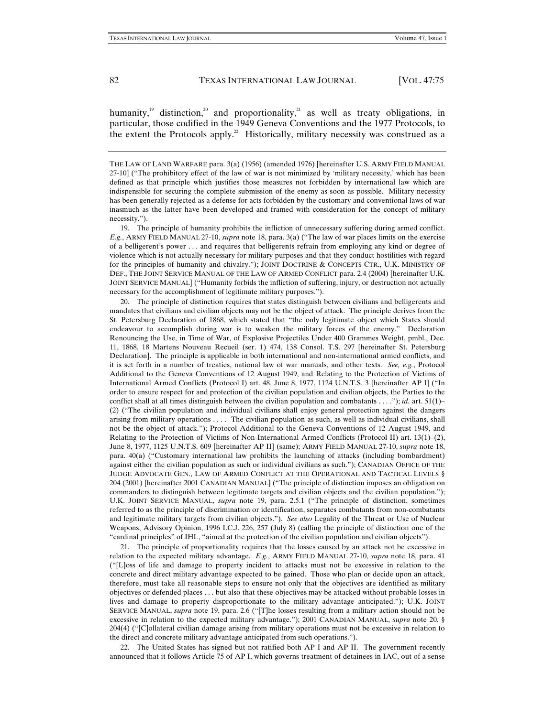humanity,<sup>19</sup> distinction,<sup>20</sup> and proportionality,<sup>21</sup> as well as treaty obligations, in particular, those codified in the 1949 Geneva Conventions and the 1977 Protocols, to the extent the Protocols apply.<sup>22</sup> Historically, military necessity was construed as a

19. The principle of humanity prohibits the infliction of unnecessary suffering during armed conflict. *E.g.*, ARMY FIELD MANUAL 27-10, *supra* note 18, para. 3(a) ("The law of war places limits on the exercise of a belligerent's power . . . and requires that belligerents refrain from employing any kind or degree of violence which is not actually necessary for military purposes and that they conduct hostilities with regard for the principles of humanity and chivalry."); JOINT DOCTRINE & CONCEPTS CTR., U.K. MINISTRY OF DEF., THE JOINT SERVICE MANUAL OF THE LAW OF ARMED CONFLICT para. 2.4 (2004) [hereinafter U.K. JOINT SERVICE MANUAL] ("Humanity forbids the infliction of suffering, injury, or destruction not actually necessary for the accomplishment of legitimate military purposes.").

20. The principle of distinction requires that states distinguish between civilians and belligerents and mandates that civilians and civilian objects may not be the object of attack. The principle derives from the St. Petersburg Declaration of 1868, which stated that "the only legitimate object which States should endeavour to accomplish during war is to weaken the military forces of the enemy." Declaration Renouncing the Use, in Time of War, of Explosive Projectiles Under 400 Grammes Weight, pmbl., Dec. 11, 1868, 18 Martens Nouveau Recueil (ser. 1) 474, 138 Consol. T.S. 297 [hereinafter St. Petersburg Declaration]. The principle is applicable in both international and non-international armed conflicts, and it is set forth in a number of treaties, national law of war manuals, and other texts. *See, e.g.*, Protocol Additional to the Geneva Conventions of 12 August 1949, and Relating to the Protection of Victims of International Armed Conflicts (Protocol I) art. 48, June 8, 1977, 1124 U.N.T.S. 3 [hereinafter AP I] ("In order to ensure respect for and protection of the civilian population and civilian objects, the Parties to the conflict shall at all times distinguish between the civilian population and combatants . . . ."); *id.* art. 51(1)– (2) ("The civilian population and individual civilians shall enjoy general protection against the dangers arising from military operations . . . . The civilian population as such, as well as individual civilians, shall not be the object of attack."); Protocol Additional to the Geneva Conventions of 12 August 1949, and Relating to the Protection of Victims of Non-International Armed Conflicts (Protocol II) art. 13(1)–(2), June 8, 1977, 1125 U.N.T.S. 609 [hereinafter AP II] (same); ARMY FIELD MANUAL 27-10, *supra* note 18, para. 40(a) ("Customary international law prohibits the launching of attacks (including bombardment) against either the civilian population as such or individual civilians as such."); CANADIAN OFFICE OF THE JUDGE ADVOCATE GEN., LAW OF ARMED CONFLICT AT THE OPERATIONAL AND TACTICAL LEVELS § 204 (2001) [hereinafter 2001 CANADIAN MANUAL] ("The principle of distinction imposes an obligation on commanders to distinguish between legitimate targets and civilian objects and the civilian population."); U.K. JOINT SERVICE MANUAL, *supra* note 19, para. 2.5.1 ("The principle of distinction, sometimes referred to as the principle of discrimination or identification, separates combatants from non-combatants and legitimate military targets from civilian objects."). *See also* Legality of the Threat or Use of Nuclear Weapons, Advisory Opinion, 1996 I.C.J. 226, 257 (July 8) (calling the principle of distinction one of the "cardinal principles" of IHL, "aimed at the protection of the civilian population and civilian objects").

21. The principle of proportionality requires that the losses caused by an attack not be excessive in relation to the expected military advantage. *E.g.*, ARMY FIELD MANUAL 27-10, *supra* note 18, para. 41 ("[L]oss of life and damage to property incident to attacks must not be excessive in relation to the concrete and direct military advantage expected to be gained. Those who plan or decide upon an attack, therefore, must take all reasonable steps to ensure not only that the objectives are identified as military objectives or defended places . . . but also that these objectives may be attacked without probable losses in lives and damage to property disproportionate to the military advantage anticipated."); U.K. JOINT SERVICE MANUAL, *supra* note 19, para. 2.6 ("[T]he losses resulting from a military action should not be excessive in relation to the expected military advantage."); 2001 CANADIAN MANUAL, *supra* note 20, § 204(4) ("[C]ollateral civilian damage arising from military operations must not be excessive in relation to the direct and concrete military advantage anticipated from such operations.").

22. The United States has signed but not ratified both AP I and AP II. The government recently announced that it follows Article 75 of AP I, which governs treatment of detainees in IAC, out of a sense

THE LAW OF LAND WARFARE para. 3(a) (1956) (amended 1976) [hereinafter U.S. ARMY FIELD MANUAL 27-10] ("The prohibitory effect of the law of war is not minimized by 'military necessity,' which has been defined as that principle which justifies those measures not forbidden by international law which are indispensible for securing the complete submission of the enemy as soon as possible. Military necessity has been generally rejected as a defense for acts forbidden by the customary and conventional laws of war inasmuch as the latter have been developed and framed with consideration for the concept of military necessity.").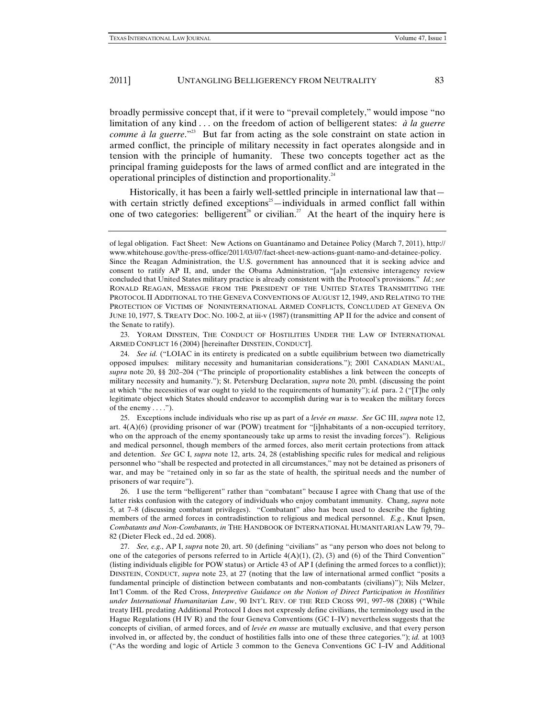broadly permissive concept that, if it were to "prevail completely," would impose "no limitation of any kind . . . on the freedom of action of belligerent states: *à la guerre comme à la guerre*."<sup>23</sup> But far from acting as the sole constraint on state action in armed conflict, the principle of military necessity in fact operates alongside and in tension with the principle of humanity. These two concepts together act as the principal framing guideposts for the laws of armed conflict and are integrated in the operational principles of distinction and proportionality.24

Historically, it has been a fairly well-settled principle in international law that with certain strictly defined exceptions<sup>25</sup>—individuals in armed conflict fall within one of two categories: belligerent<sup>26</sup> or civilian.<sup>27</sup> At the heart of the inquiry here is

23. YORAM DINSTEIN, THE CONDUCT OF HOSTILITIES UNDER THE LAW OF INTERNATIONAL ARMED CONFLICT 16 (2004) [hereinafter DINSTEIN, CONDUCT].

24. *See id.* ("LOIAC in its entirety is predicated on a subtle equilibrium between two diametrically opposed impulses: military necessity and humanitarian considerations."); 2001 CANADIAN MANUAL, *supra* note 20, §§ 202–204 ("The principle of proportionality establishes a link between the concepts of military necessity and humanity."); St. Petersburg Declaration, *supra* note 20, pmbl. (discussing the point at which "the necessities of war ought to yield to the requirements of humanity"); *id.* para. 2 ("[T]he only legitimate object which States should endeavor to accomplish during war is to weaken the military forces of the enemy  $\dots$ .").

25. Exceptions include individuals who rise up as part of a *levée en masse*. *See* GC III, *supra* note 12, art. 4(A)(6) (providing prisoner of war (POW) treatment for "[i]nhabitants of a non-occupied territory, who on the approach of the enemy spontaneously take up arms to resist the invading forces"). Religious and medical personnel, though members of the armed forces, also merit certain protections from attack and detention. *See* GC I, *supra* note 12, arts. 24, 28 (establishing specific rules for medical and religious personnel who "shall be respected and protected in all circumstances," may not be detained as prisoners of war, and may be "retained only in so far as the state of health, the spiritual needs and the number of prisoners of war require").

26. I use the term "belligerent" rather than "combatant" because I agree with Chang that use of the latter risks confusion with the category of individuals who enjoy combatant immunity. Chang, *supra* note 5, at 7–8 (discussing combatant privileges). "Combatant" also has been used to describe the fighting members of the armed forces in contradistinction to religious and medical personnel. *E.g.*, Knut Ipsen, *Combatants and Non-Combatants*, *in* THE HANDBOOK OF INTERNATIONAL HUMANITARIAN LAW 79, 79– 82 (Dieter Fleck ed., 2d ed. 2008).

27. *See, e.g.*, AP I, *supra* note 20, art. 50 (defining "civilians" as "any person who does not belong to one of the categories of persons referred to in Article  $4(A)(1)$ ,  $(2)$ ,  $(3)$  and  $(6)$  of the Third Convention" (listing individuals eligible for POW status) or Article 43 of AP I (defining the armed forces to a conflict)); DINSTEIN, CONDUCT, *supra* note 23, at 27 (noting that the law of international armed conflict "posits a fundamental principle of distinction between combatants and non-combatants (civilians)"); Nils Melzer, Int'l Comm. of the Red Cross, *Interpretive Guidance on the Notion of Direct Participation in Hostilities under International Humanitarian Law*, 90 INT'L REV. OF THE RED CROSS 991, 997–98 (2008) ("While treaty IHL predating Additional Protocol I does not expressly define civilians, the terminology used in the Hague Regulations (H IV R) and the four Geneva Conventions (GC I–IV) nevertheless suggests that the concepts of civilian, of armed forces, and of *levée en masse* are mutually exclusive, and that every person involved in, or affected by, the conduct of hostilities falls into one of these three categories."); *id.* at 1003 ("As the wording and logic of Article 3 common to the Geneva Conventions GC I–IV and Additional

of legal obligation. Fact Sheet: New Actions on Guantánamo and Detainee Policy (March 7, 2011), http:// www.whitehouse.gov/the-press-office/2011/03/07/fact-sheet-new-actions-guant-namo-and-detainee-policy. Since the Reagan Administration, the U.S. government has announced that it is seeking advice and consent to ratify AP II, and, under the Obama Administration, "[a]n extensive interagency review concluded that United States military practice is already consistent with the Protocol's provisions." *Id.*; *see*  RONALD REAGAN, MESSAGE FROM THE PRESIDENT OF THE UNITED STATES TRANSMITTING THE PROTOCOL II ADDITIONAL TO THE GENEVA CONVENTIONS OF AUGUST 12, 1949, AND RELATING TO THE PROTECTION OF VICTIMS OF NONINTERNATIONAL ARMED CONFLICTS, CONCLUDED AT GENEVA ON JUNE 10, 1977, S. TREATY DOC. NO. 100-2, at iii-v (1987) (transmitting AP II for the advice and consent of the Senate to ratify).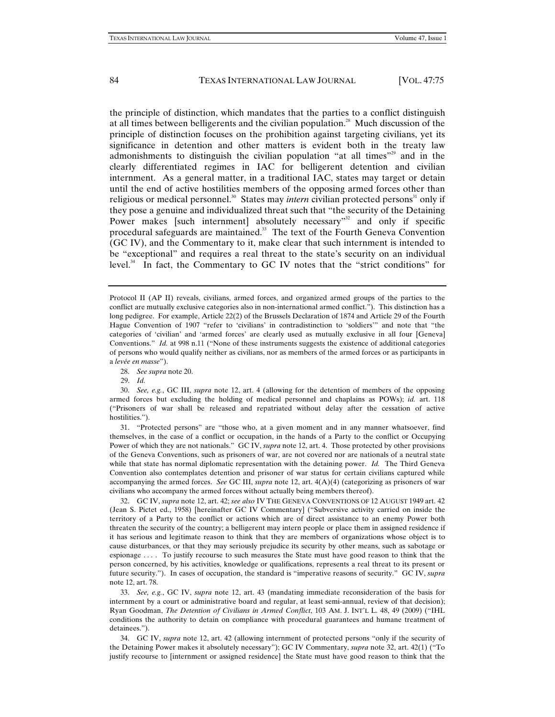the principle of distinction, which mandates that the parties to a conflict distinguish at all times between belligerents and the civilian population.28 Much discussion of the principle of distinction focuses on the prohibition against targeting civilians, yet its significance in detention and other matters is evident both in the treaty law admonishments to distinguish the civilian population "at all times"<sup>29</sup> and in the clearly differentiated regimes in IAC for belligerent detention and civilian internment. As a general matter, in a traditional IAC, states may target or detain until the end of active hostilities members of the opposing armed forces other than religious or medical personnel.<sup>30</sup> States may *intern* civilian protected persons<sup>31</sup> only if they pose a genuine and individualized threat such that "the security of the Detaining Power makes [such internment] absolutely necessary"<sup>32</sup> and only if specific procedural safeguards are maintained. $33$  The text of the Fourth Geneva Convention (GC IV), and the Commentary to it, make clear that such internment is intended to be "exceptional" and requires a real threat to the state's security on an individual level.<sup>34</sup> In fact, the Commentary to GC IV notes that the "strict conditions" for

28. *See supra* note 20.

29. *Id.*

30. *See, e.g.*, GC III, *supra* note 12, art. 4 (allowing for the detention of members of the opposing armed forces but excluding the holding of medical personnel and chaplains as POWs); *id.* art. 118 ("Prisoners of war shall be released and repatriated without delay after the cessation of active hostilities.").

31. "Protected persons" are "those who, at a given moment and in any manner whatsoever, find themselves, in the case of a conflict or occupation, in the hands of a Party to the conflict or Occupying Power of which they are not nationals." GC IV, *supra* note 12, art. 4. Those protected by other provisions of the Geneva Conventions, such as prisoners of war, are not covered nor are nationals of a neutral state while that state has normal diplomatic representation with the detaining power. *Id.* The Third Geneva Convention also contemplates detention and prisoner of war status for certain civilians captured while accompanying the armed forces. *See* GC III, *supra* note 12, art. 4(A)(4) (categorizing as prisoners of war civilians who accompany the armed forces without actually being members thereof).

32. GC IV, *supra* note 12, art. 42; *see also* IV THE GENEVA CONVENTIONS OF 12 AUGUST 1949 art. 42 (Jean S. Pictet ed., 1958) [hereinafter GC IV Commentary] ("Subversive activity carried on inside the territory of a Party to the conflict or actions which are of direct assistance to an enemy Power both threaten the security of the country; a belligerent may intern people or place them in assigned residence if it has serious and legitimate reason to think that they are members of organizations whose object is to cause disturbances, or that they may seriously prejudice its security by other means, such as sabotage or espionage . . . . To justify recourse to such measures the State must have good reason to think that the person concerned, by his activities, knowledge or qualifications, represents a real threat to its present or future security."). In cases of occupation, the standard is "imperative reasons of security." GC IV, *supra* note 12, art. 78.

33. *See, e.g.*, GC IV, *supra* note 12, art. 43 (mandating immediate reconsideration of the basis for internment by a court or administrative board and regular, at least semi-annual, review of that decision); Ryan Goodman, *The Detention of Civilians in Armed Conflict*, 103 AM. J. INT'L L. 48, 49 (2009) ("IHL conditions the authority to detain on compliance with procedural guarantees and humane treatment of detainees.").

34. GC IV, *supra* note 12, art. 42 (allowing internment of protected persons "only if the security of the Detaining Power makes it absolutely necessary"); GC IV Commentary, *supra* note 32, art. 42(1) ("To justify recourse to [internment or assigned residence] the State must have good reason to think that the

Protocol II (AP II) reveals, civilians, armed forces, and organized armed groups of the parties to the conflict are mutually exclusive categories also in non-international armed conflict."). This distinction has a long pedigree. For example, Article 22(2) of the Brussels Declaration of 1874 and Article 29 of the Fourth Hague Convention of 1907 "refer to 'civilians' in contradistinction to 'soldiers'" and note that "the categories of 'civilian' and 'armed forces' are clearly used as mutually exclusive in all four [Geneva] Conventions." *Id.* at 998 n.11 ("None of these instruments suggests the existence of additional categories of persons who would qualify neither as civilians, nor as members of the armed forces or as participants in a *levée en masse*").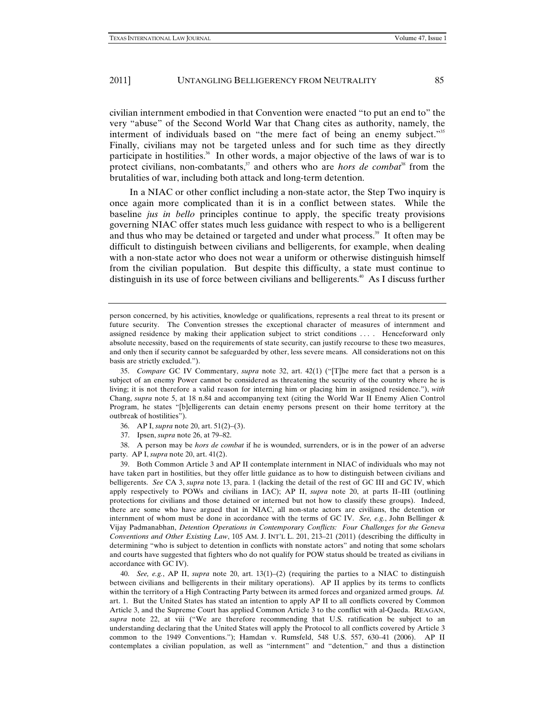civilian internment embodied in that Convention were enacted "to put an end to" the very "abuse" of the Second World War that Chang cites as authority, namely, the interment of individuals based on "the mere fact of being an enemy subject."<sup>35</sup> Finally, civilians may not be targeted unless and for such time as they directly participate in hostilities.<sup>36</sup> In other words, a major objective of the laws of war is to protect civilians, non-combatants,<sup>37</sup> and others who are *hors de combat*<sup>38</sup> from the brutalities of war, including both attack and long-term detention.

In a NIAC or other conflict including a non-state actor, the Step Two inquiry is once again more complicated than it is in a conflict between states. While the baseline *jus in bello* principles continue to apply, the specific treaty provisions governing NIAC offer states much less guidance with respect to who is a belligerent and thus who may be detained or targeted and under what process.<sup>39</sup> It often may be difficult to distinguish between civilians and belligerents, for example, when dealing with a non-state actor who does not wear a uniform or otherwise distinguish himself from the civilian population. But despite this difficulty, a state must continue to distinguish in its use of force between civilians and belligerents.<sup>40</sup> As I discuss further

37. Ipsen, *supra* note 26, at 79–82.

38. A person may be *hors de combat* if he is wounded, surrenders, or is in the power of an adverse party. AP I, *supra* note 20, art. 41(2).

39. Both Common Article 3 and AP II contemplate internment in NIAC of individuals who may not have taken part in hostilities, but they offer little guidance as to how to distinguish between civilians and belligerents. *See* CA 3, *supra* note 13, para. 1 (lacking the detail of the rest of GC III and GC IV, which apply respectively to POWs and civilians in IAC); AP II, *supra* note 20, at parts II–III (outlining protections for civilians and those detained or interned but not how to classify these groups). Indeed, there are some who have argued that in NIAC, all non-state actors are civilians, the detention or internment of whom must be done in accordance with the terms of GC IV. *See, e.g.*, John Bellinger & Vijay Padmanabhan, *Detention Operations in Contemporary Conflicts: Four Challenges for the Geneva Conventions and Other Existing Law*, 105 AM. J. INT'L L. 201, 213–21 (2011) (describing the difficulty in determining "who is subject to detention in conflicts with nonstate actors" and noting that some scholars and courts have suggested that fighters who do not qualify for POW status should be treated as civilians in accordance with GC IV).

40. *See, e.g.*, AP II, *supra* note 20, art. 13(1)–(2) (requiring the parties to a NIAC to distinguish between civilians and belligerents in their military operations). AP II applies by its terms to conflicts within the territory of a High Contracting Party between its armed forces and organized armed groups. *Id.* art. 1. But the United States has stated an intention to apply AP II to all conflicts covered by Common Article 3, and the Supreme Court has applied Common Article 3 to the conflict with al-Qaeda. REAGAN, *supra* note 22, at viii ("We are therefore recommending that U.S. ratification be subject to an understanding declaring that the United States will apply the Protocol to all conflicts covered by Article 3 common to the 1949 Conventions."); Hamdan v. Rumsfeld, 548 U.S. 557, 630–41 (2006). AP II contemplates a civilian population, as well as "internment" and "detention," and thus a distinction

person concerned, by his activities, knowledge or qualifications, represents a real threat to its present or future security. The Convention stresses the exceptional character of measures of internment and assigned residence by making their application subject to strict conditions . . . . Henceforward only absolute necessity, based on the requirements of state security, can justify recourse to these two measures, and only then if security cannot be safeguarded by other, less severe means. All considerations not on this basis are strictly excluded.").

<sup>35.</sup> *Compare* GC IV Commentary, *supra* note 32, art. 42(1) ("[T]he mere fact that a person is a subject of an enemy Power cannot be considered as threatening the security of the country where he is living; it is not therefore a valid reason for interning him or placing him in assigned residence."), *with* Chang, *supra* note 5, at 18 n.84 and accompanying text (citing the World War II Enemy Alien Control Program, he states "[b]elligerents can detain enemy persons present on their home territory at the outbreak of hostilities").

<sup>36.</sup> AP I, *supra* note 20, art. 51(2)–(3).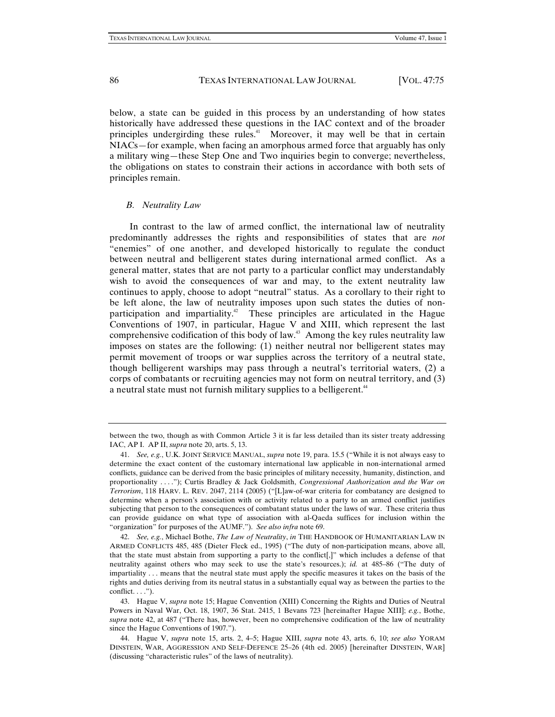below, a state can be guided in this process by an understanding of how states historically have addressed these questions in the IAC context and of the broader principles undergirding these rules.<sup>41</sup> Moreover, it may well be that in certain NIACs—for example, when facing an amorphous armed force that arguably has only a military wing—these Step One and Two inquiries begin to converge; nevertheless, the obligations on states to constrain their actions in accordance with both sets of principles remain.

#### *B. Neutrality Law*

In contrast to the law of armed conflict, the international law of neutrality predominantly addresses the rights and responsibilities of states that are *not*  "enemies" of one another, and developed historically to regulate the conduct between neutral and belligerent states during international armed conflict. As a general matter, states that are not party to a particular conflict may understandably wish to avoid the consequences of war and may, to the extent neutrality law continues to apply, choose to adopt "neutral" status. As a corollary to their right to be left alone, the law of neutrality imposes upon such states the duties of nonparticipation and impartiality.<sup>42</sup> These principles are articulated in the Hague Conventions of 1907, in particular, Hague V and XIII, which represent the last comprehensive codification of this body of law.<sup>43</sup> Among the key rules neutrality law imposes on states are the following: (1) neither neutral nor belligerent states may permit movement of troops or war supplies across the territory of a neutral state, though belligerent warships may pass through a neutral's territorial waters, (2) a corps of combatants or recruiting agencies may not form on neutral territory, and (3) a neutral state must not furnish military supplies to a belligerent.<sup>44</sup>

between the two, though as with Common Article 3 it is far less detailed than its sister treaty addressing IAC, AP I. AP II, *supra* note 20, arts. 5, 13.

<sup>41.</sup> *See, e.g.*, U.K. JOINT SERVICE MANUAL, *supra* note 19, para. 15.5 ("While it is not always easy to determine the exact content of the customary international law applicable in non-international armed conflicts, guidance can be derived from the basic principles of military necessity, humanity, distinction, and proportionality . . . ."); Curtis Bradley & Jack Goldsmith, *Congressional Authorization and the War on Terrorism*, 118 HARV. L. REV. 2047, 2114 (2005) ("[L]aw-of-war criteria for combatancy are designed to determine when a person's association with or activity related to a party to an armed conflict justifies subjecting that person to the consequences of combatant status under the laws of war. These criteria thus can provide guidance on what type of association with al-Qaeda suffices for inclusion within the "organization" for purposes of the AUMF."). *See also infra* note 69.

<sup>42.</sup> *See, e.g.*, Michael Bothe, *The Law of Neutrality*, *in* THE HANDBOOK OF HUMANITARIAN LAW IN ARMED CONFLICTS 485, 485 (Dieter Fleck ed., 1995) ("The duty of non-participation means, above all, that the state must abstain from supporting a party to the conflict[,]" which includes a defense of that neutrality against others who may seek to use the state's resources.); *id.* at 485–86 ("The duty of impartiality . . . means that the neutral state must apply the specific measures it takes on the basis of the rights and duties deriving from its neutral status in a substantially equal way as between the parties to the  $conflict. \ldots$ ").

<sup>43.</sup> Hague V, *supra* note 15; Hague Convention (XIII) Concerning the Rights and Duties of Neutral Powers in Naval War, Oct. 18, 1907, 36 Stat. 2415, 1 Bevans 723 [hereinafter Hague XIII]; *e.g.*, Bothe, *supra* note 42, at 487 ("There has, however, been no comprehensive codification of the law of neutrality since the Hague Conventions of 1907.").

<sup>44.</sup> Hague V, *supra* note 15, arts. 2, 4–5; Hague XIII, *supra* note 43, arts. 6, 10; *see also* YORAM DINSTEIN, WAR, AGGRESSION AND SELF-DEFENCE 25–26 (4th ed. 2005) [hereinafter DINSTEIN, WAR] (discussing "characteristic rules" of the laws of neutrality).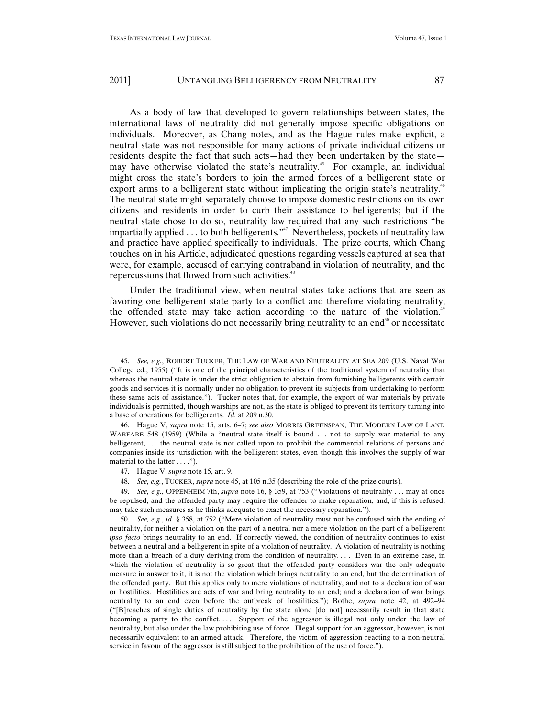As a body of law that developed to govern relationships between states, the international laws of neutrality did not generally impose specific obligations on individuals. Moreover, as Chang notes, and as the Hague rules make explicit, a neutral state was not responsible for many actions of private individual citizens or residents despite the fact that such acts—had they been undertaken by the state may have otherwise violated the state's neutrality.<sup>45</sup> For example, an individual might cross the state's borders to join the armed forces of a belligerent state or export arms to a belligerent state without implicating the origin state's neutrality.<sup>46</sup> The neutral state might separately choose to impose domestic restrictions on its own citizens and residents in order to curb their assistance to belligerents; but if the neutral state chose to do so, neutrality law required that any such restrictions "be impartially applied  $\dots$  to both belligerents.<sup> $n\pi$ </sup> Nevertheless, pockets of neutrality law and practice have applied specifically to individuals. The prize courts, which Chang touches on in his Article, adjudicated questions regarding vessels captured at sea that were, for example, accused of carrying contraband in violation of neutrality, and the repercussions that flowed from such activities.<sup>48</sup>

Under the traditional view, when neutral states take actions that are seen as favoring one belligerent state party to a conflict and therefore violating neutrality, the offended state may take action according to the nature of the violation.<sup>49</sup> However, such violations do not necessarily bring neutrality to an end $<sup>50</sup>$  or necessitate</sup>

46. Hague V, *supra* note 15, arts. 6–7; *see also* MORRIS GREENSPAN, THE MODERN LAW OF LAND WARFARE 548 (1959) (While a "neutral state itself is bound ... not to supply war material to any belligerent, . . . the neutral state is not called upon to prohibit the commercial relations of persons and companies inside its jurisdiction with the belligerent states, even though this involves the supply of war material to the latter . . . .").

49. *See, e.g.*, OPPENHEIM 7th, *supra* note 16, § 359, at 753 ("Violations of neutrality . . . may at once be repulsed, and the offended party may require the offender to make reparation, and, if this is refused, may take such measures as he thinks adequate to exact the necessary reparation.").

50. *See, e.g.*, *id.* § 358, at 752 ("Mere violation of neutrality must not be confused with the ending of neutrality, for neither a violation on the part of a neutral nor a mere violation on the part of a belligerent *ipso facto* brings neutrality to an end. If correctly viewed, the condition of neutrality continues to exist between a neutral and a belligerent in spite of a violation of neutrality. A violation of neutrality is nothing more than a breach of a duty deriving from the condition of neutrality.... Even in an extreme case, in which the violation of neutrality is so great that the offended party considers war the only adequate measure in answer to it, it is not the violation which brings neutrality to an end, but the determination of the offended party. But this applies only to mere violations of neutrality, and not to a declaration of war or hostilities. Hostilities are acts of war and bring neutrality to an end; and a declaration of war brings neutrality to an end even before the outbreak of hostilities."); Bothe, *supra* note 42, at 492–94 ("[B]reaches of single duties of neutrality by the state alone [do not] necessarily result in that state becoming a party to the conflict.... Support of the aggressor is illegal not only under the law of neutrality, but also under the law prohibiting use of force. Illegal support for an aggressor, however, is not necessarily equivalent to an armed attack. Therefore, the victim of aggression reacting to a non-neutral service in favour of the aggressor is still subject to the prohibition of the use of force.").

<sup>45.</sup> *See, e.g.*, ROBERT TUCKER, THE LAW OF WAR AND NEUTRALITY AT SEA 209 (U.S. Naval War College ed., 1955) ("It is one of the principal characteristics of the traditional system of neutrality that whereas the neutral state is under the strict obligation to abstain from furnishing belligerents with certain goods and services it is normally under no obligation to prevent its subjects from undertaking to perform these same acts of assistance."). Tucker notes that, for example, the export of war materials by private individuals is permitted, though warships are not, as the state is obliged to prevent its territory turning into a base of operations for belligerents. *Id.* at 209 n.30.

<sup>47.</sup> Hague V, *supra* note 15, art. 9.

<sup>48.</sup> *See, e.g.*, TUCKER, *supra* note 45, at 105 n.35 (describing the role of the prize courts).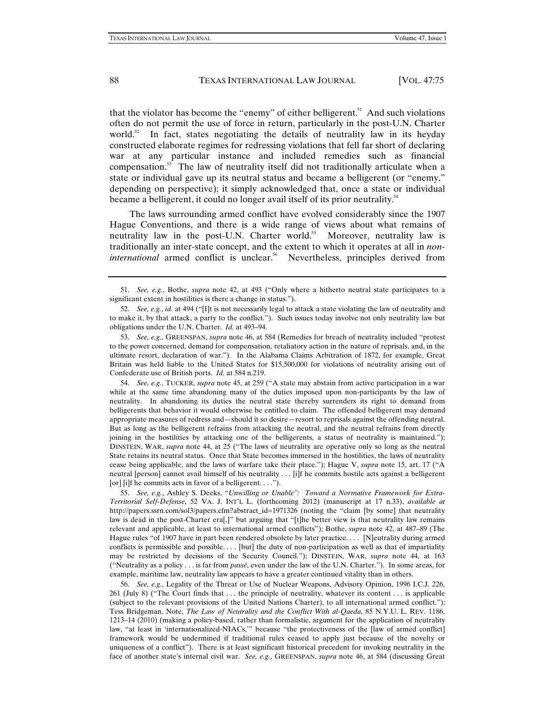that the violator has become the "enemy" of either belligerent. $51$  And such violations often do not permit the use of force in return, particularly in the post-U.N. Charter world. $52$  In fact, states negotiating the details of neutrality law in its heyday constructed elaborate regimes for redressing violations that fell far short of declaring war at any particular instance and included remedies such as financial compensation.<sup>53</sup> The law of neutrality itself did not traditionally articulate when a state or individual gave up its neutral status and became a belligerent (or "enemy," depending on perspective); it simply acknowledged that, once a state or individual became a belligerent, it could no longer avail itself of its prior neutrality.<sup>54</sup>

The laws surrounding armed conflict have evolved considerably since the 1907 Hague Conventions, and there is a wide range of views about what remains of neutrality law in the post-U.N. Charter world.<sup>55</sup> Moreover, neutrality law is traditionally an inter-state concept, and the extent to which it operates at all in *noninternational* armed conflict is unclear.<sup>56</sup> Nevertheless, principles derived from

54. *See, e.g.*, TUCKER, *supra* note 45, at 259 ("A state may abstain from active participation in a war while at the same time abandoning many of the duties imposed upon non-participants by the law of neutrality. In abandoning its duties the neutral state thereby surrenders its right to demand from belligerents that behavior it would otherwise be entitled to claim. The offended belligerent may demand appropriate measures of redress and—should it so desire—resort to reprisals against the offending neutral. But as long as the belligerent refrains from attacking the neutral, and the neutral refrains from directly joining in the hostilities by attacking one of the belligerents, a status of neutrality is maintained."); DINSTEIN, WAR, *supra* note 44, at 25 ("The laws of neutrality are operative only so long as the neutral State retains its neutral status. Once that State becomes immersed in the hostilities, the laws of neutrality cease being applicable, and the laws of warfare take their place."); Hague V, *supra* note 15, art. 17 ("A neutral [person] cannot avail himself of his neutrality . . . [i]f he commits hostile acts against a belligerent [or] [i]f he commits acts in favor of a belligerent. . . .").

55. *See, e.g.*, Ashley S. Deeks, "*Unwilling or Unable": Toward a Normative Framework for Extra-Territorial Self-Defense*, 52 VA. J. INT'L L. (forthcoming 2012) (manuscript at 17 n.33), *available at* http://papers.ssrn.com/sol3/papers.cfm?abstract\_id=1971326 (noting the "claim [by some] that neutrality law is dead in the post-Charter era[,]" but arguing that "[t]he better view is that neutrality law remains relevant and applicable, at least to international armed conflicts"); Bothe, *supra* note 42, at 487–89 (The Hague rules "of 1907 have in part been rendered obsolete by later practice. . . . [N]eutrality during armed conflicts is permissible and possible. . . . [but] the duty of non-participation as well as that of impartiality may be restricted by decisions of the Security Council."); DINSTEIN, WAR, *supra* note 44, at 163 ("Neutrality as a policy . . . is far from *passé*, even under the law of the U.N. Charter."). In some areas, for example, maritime law, neutrality law appears to have a greater continued vitality than in others.

56. *See, e.g.*, Legality of the Threat or Use of Nuclear Weapons, Advisory Opinion, 1996 I.C.J. 226, 261 (July 8) ("The Court finds that . . . the principle of neutrality, whatever its content . . . is applicable (subject to the relevant provisions of the United Nations Charter), to all international armed conflict."); Tess Bridgeman, Note, *The Law of Neutrality and the Conflict With al-Qaeda*, 85 N.Y.U. L. REV. 1186, 1213–14 (2010) (making a policy-based, rather than formalistic, argument for the application of neutrality law, "at least in 'internationalized-NIACs,'" because "the protectiveness of the [law of armed conflict] framework would be undermined if traditional rules ceased to apply just because of the novelty or uniqueness of a conflict"). There is at least significant historical precedent for invoking neutrality in the face of another state's internal civil war. *See, e.g.*, GREENSPAN, *supra* note 46, at 584 (discussing Great

<sup>51.</sup> *See, e.g.*, Bothe, *supra* note 42, at 493 ("Only where a hitherto neutral state participates to a significant extent in hostilities is there a change in status.").

<sup>52.</sup> *See, e.g.*, *id.* at 494 ("[I]t is not necessarily legal to attack a state violating the law of neutrality and to make it, by that attack, a party to the conflict."). Such issues today involve not only neutrality law but obligations under the U.N. Charter. *Id.* at 493–94.

<sup>53.</sup> *See, e.g.*, GREENSPAN, *supra* note 46, at 584 (Remedies for breach of neutrality included "protest to the power concerned, demand for compensation, retaliatory action in the nature of reprisals, and, in the ultimate resort, declaration of war."). In the Alabama Claims Arbitration of 1872, for example, Great Britain was held liable to the United States for \$15,500,000 for violations of neutrality arising out of Confederate use of British ports. *Id.* at 584 n.219.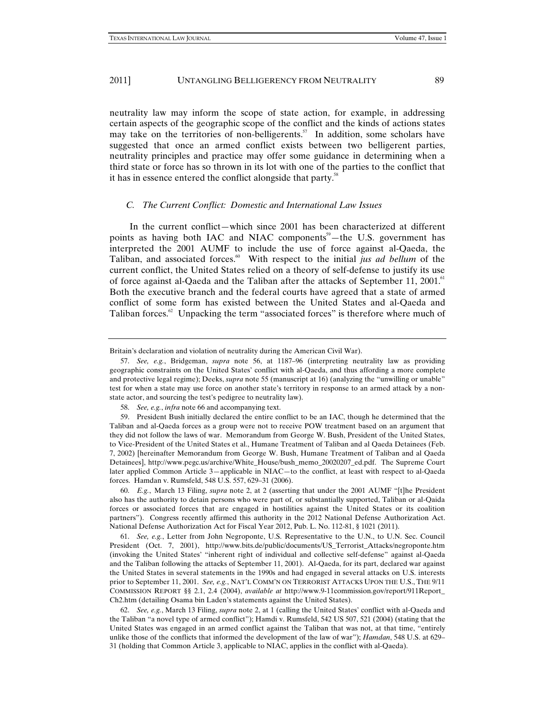neutrality law may inform the scope of state action, for example, in addressing certain aspects of the geographic scope of the conflict and the kinds of actions states may take on the territories of non-belligerents.<sup>57</sup> In addition, some scholars have suggested that once an armed conflict exists between two belligerent parties, neutrality principles and practice may offer some guidance in determining when a third state or force has so thrown in its lot with one of the parties to the conflict that it has in essence entered the conflict alongside that party.<sup>58</sup>

#### *C. The Current Conflict: Domestic and International Law Issues*

In the current conflict—which since 2001 has been characterized at different points as having both IAC and NIAC components<sup>59</sup>—the U.S. government has interpreted the 2001 AUMF to include the use of force against al-Qaeda, the Taliban, and associated forces.<sup>60</sup> With respect to the initial *jus ad bellum* of the current conflict, the United States relied on a theory of self-defense to justify its use of force against al-Qaeda and the Taliban after the attacks of September 11, 2001.<sup>61</sup> Both the executive branch and the federal courts have agreed that a state of armed conflict of some form has existed between the United States and al-Qaeda and Taliban forces.<sup>62</sup> Unpacking the term "associated forces" is therefore where much of

61. *See, e.g.*, Letter from John Negroponte, U.S. Representative to the U.N., to U.N. Sec. Council President (Oct. 7, 2001), http://www.bits.de/public/documents/US\_Terrorist\_Attacks/negroponte.htm (invoking the United States' "inherent right of individual and collective self-defense" against al-Qaeda and the Taliban following the attacks of September 11, 2001). Al-Qaeda, for its part, declared war against the United States in several statements in the 1990s and had engaged in several attacks on U.S. interests prior to September 11, 2001. *See, e.g.*, NAT'L COMM'N ON TERRORIST ATTACKS UPON THE U.S., THE 9/11 COMMISSION REPORT §§ 2.1, 2.4 (2004), *available at* http://www.9-11commission.gov/report/911Report\_ Ch2.htm (detailing Osama bin Laden's statements against the United States).

Britain's declaration and violation of neutrality during the American Civil War).

<sup>57.</sup> *See, e.g.*, Bridgeman, *supra* note 56, at 1187–96 (interpreting neutrality law as providing geographic constraints on the United States' conflict with al-Qaeda, and thus affording a more complete and protective legal regime); Deeks, *supra* note 55 (manuscript at 16) (analyzing the "unwilling or unable" test for when a state may use force on another state's territory in response to an armed attack by a nonstate actor, and sourcing the test's pedigree to neutrality law).

<sup>58.</sup> *See, e.g.*, *infra* note 66 and accompanying text.

<sup>59.</sup> President Bush initially declared the entire conflict to be an IAC, though he determined that the Taliban and al-Qaeda forces as a group were not to receive POW treatment based on an argument that they did not follow the laws of war. Memorandum from George W. Bush, President of the United States, to Vice-President of the United States et al., Humane Treatment of Taliban and al Qaeda Detainees (Feb. 7, 2002) [hereinafter Memorandum from George W. Bush, Humane Treatment of Taliban and al Qaeda Detainees], http://www.pegc.us/archive/White\_House/bush\_memo\_20020207\_ed.pdf. The Supreme Court later applied Common Article 3—applicable in NIAC—to the conflict, at least with respect to al-Qaeda forces. Hamdan v. Rumsfeld, 548 U.S. 557, 629–31 (2006).

<sup>60.</sup> *E.g.*, March 13 Filing, *supra* note 2, at 2 (asserting that under the 2001 AUMF "[t]he President also has the authority to detain persons who were part of, or substantially supported, Taliban or al-Qaida forces or associated forces that are engaged in hostilities against the United States or its coalition partners"). Congress recently affirmed this authority in the 2012 National Defense Authorization Act. National Defense Authorization Act for Fiscal Year 2012, Pub. L. No. 112-81, § 1021 (2011).

<sup>62.</sup> *See, e.g.*, March 13 Filing, *supra* note 2, at 1 (calling the United States' conflict with al-Qaeda and the Taliban "a novel type of armed conflict"); Hamdi v. Rumsfeld, 542 US 507, 521 (2004) (stating that the United States was engaged in an armed conflict against the Taliban that was not, at that time, "entirely unlike those of the conflicts that informed the development of the law of war"); *Hamdan*, 548 U.S. at 629– 31 (holding that Common Article 3, applicable to NIAC, applies in the conflict with al-Qaeda).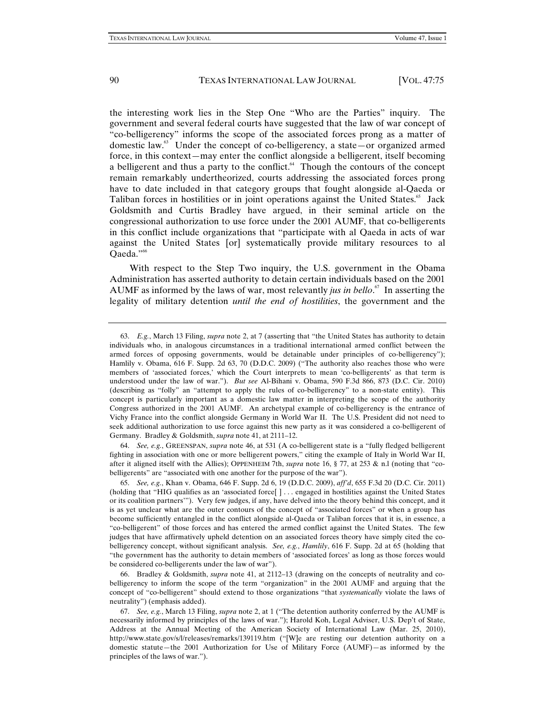the interesting work lies in the Step One "Who are the Parties" inquiry. The government and several federal courts have suggested that the law of war concept of "co-belligerency" informs the scope of the associated forces prong as a matter of domestic law.63 Under the concept of co-belligerency, a state—or organized armed force, in this context—may enter the conflict alongside a belligerent, itself becoming a belligerent and thus a party to the conflict. $64$  Though the contours of the concept remain remarkably undertheorized, courts addressing the associated forces prong have to date included in that category groups that fought alongside al-Qaeda or Taliban forces in hostilities or in joint operations against the United States.<sup>65</sup> Jack Goldsmith and Curtis Bradley have argued, in their seminal article on the congressional authorization to use force under the 2001 AUMF, that co-belligerents in this conflict include organizations that "participate with al Qaeda in acts of war against the United States [or] systematically provide military resources to al Qaeda."66

With respect to the Step Two inquiry, the U.S. government in the Obama Administration has asserted authority to detain certain individuals based on the 2001 AUMF as informed by the laws of war, most relevantly *jus in bello*. 67 In asserting the legality of military detention *until the end of hostilities*, the government and the

64. *See, e.g.*, GREENSPAN, *supra* note 46, at 531 (A co-belligerent state is a "fully fledged belligerent fighting in association with one or more belligerent powers," citing the example of Italy in World War II, after it aligned itself with the Allies); OPPENHEIM 7th, *supra* note 16, § 77, at 253 & n.l (noting that "cobelligerents" are "associated with one another for the purpose of the war").

<sup>63.</sup> *E.g.*, March 13 Filing, *supra* note 2, at 7 (asserting that "the United States has authority to detain individuals who, in analogous circumstances in a traditional international armed conflict between the armed forces of opposing governments, would be detainable under principles of co-belligerency"); Hamlily v. Obama, 616 F. Supp. 2d 63, 70 (D.D.C. 2009) ("The authority also reaches those who were members of 'associated forces,' which the Court interprets to mean 'co-belligerents' as that term is understood under the law of war."). *But see* Al-Bihani v. Obama, 590 F.3d 866, 873 (D.C. Cir. 2010) (describing as "folly" an "attempt to apply the rules of co-belligerency" to a non-state entity). This concept is particularly important as a domestic law matter in interpreting the scope of the authority Congress authorized in the 2001 AUMF. An archetypal example of co-belligerency is the entrance of Vichy France into the conflict alongside Germany in World War II. The U.S. President did not need to seek additional authorization to use force against this new party as it was considered a co-belligerent of Germany. Bradley & Goldsmith, *supra* note 41, at 2111–12.

<sup>65.</sup> *See, e.g.*, Khan v. Obama, 646 F. Supp. 2d 6, 19 (D.D.C. 2009), *aff'd*, 655 F.3d 20 (D.C. Cir. 2011) (holding that "HIG qualifies as an 'associated force[ ] . . . engaged in hostilities against the United States or its coalition partners'"). Very few judges, if any, have delved into the theory behind this concept, and it is as yet unclear what are the outer contours of the concept of "associated forces" or when a group has become sufficiently entangled in the conflict alongside al-Qaeda or Taliban forces that it is, in essence, a "co-belligerent" of those forces and has entered the armed conflict against the United States. The few judges that have affirmatively upheld detention on an associated forces theory have simply cited the cobelligerency concept, without significant analysis. *See, e.g.*, *Hamlily*, 616 F. Supp. 2d at 65 (holding that "the government has the authority to detain members of 'associated forces' as long as those forces would be considered co-belligerents under the law of war").

<sup>66.</sup> Bradley & Goldsmith, *supra* note 41, at 2112–13 (drawing on the concepts of neutrality and cobelligerency to inform the scope of the term "organization" in the 2001 AUMF and arguing that the concept of "co-belligerent" should extend to those organizations "that *systematically* violate the laws of neutrality") (emphasis added).

<sup>67.</sup> *See, e.g.*, March 13 Filing, *supra* note 2, at 1 ("The detention authority conferred by the AUMF is necessarily informed by principles of the laws of war."); Harold Koh, Legal Adviser, U.S. Dep't of State, Address at the Annual Meeting of the American Society of International Law (Mar. 25, 2010), http://www.state.gov/s/l/releases/remarks/139119.htm ("[W]e are resting our detention authority on a domestic statute—the 2001 Authorization for Use of Military Force (AUMF)—as informed by the principles of the laws of war.").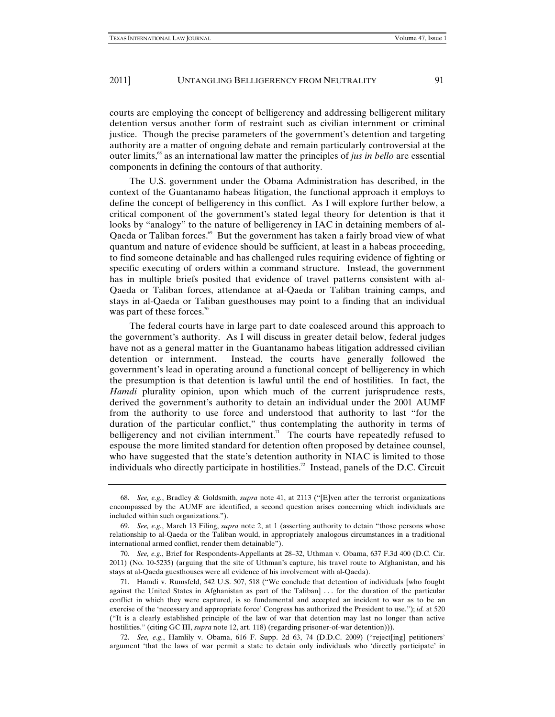courts are employing the concept of belligerency and addressing belligerent military detention versus another form of restraint such as civilian internment or criminal justice. Though the precise parameters of the government's detention and targeting authority are a matter of ongoing debate and remain particularly controversial at the outer limits,68 as an international law matter the principles of *jus in bello* are essential components in defining the contours of that authority.

The U.S. government under the Obama Administration has described, in the context of the Guantanamo habeas litigation, the functional approach it employs to define the concept of belligerency in this conflict. As I will explore further below, a critical component of the government's stated legal theory for detention is that it looks by "analogy" to the nature of belligerency in IAC in detaining members of al-Qaeda or Taliban forces.<sup>69</sup> But the government has taken a fairly broad view of what quantum and nature of evidence should be sufficient, at least in a habeas proceeding, to find someone detainable and has challenged rules requiring evidence of fighting or specific executing of orders within a command structure. Instead, the government has in multiple briefs posited that evidence of travel patterns consistent with al-Qaeda or Taliban forces, attendance at al-Qaeda or Taliban training camps, and stays in al-Qaeda or Taliban guesthouses may point to a finding that an individual was part of these forces.<sup>70</sup>

The federal courts have in large part to date coalesced around this approach to the government's authority. As I will discuss in greater detail below, federal judges have not as a general matter in the Guantanamo habeas litigation addressed civilian detention or internment. Instead, the courts have generally followed the government's lead in operating around a functional concept of belligerency in which the presumption is that detention is lawful until the end of hostilities. In fact, the *Hamdi* plurality opinion, upon which much of the current jurisprudence rests, derived the government's authority to detain an individual under the 2001 AUMF from the authority to use force and understood that authority to last "for the duration of the particular conflict," thus contemplating the authority in terms of belligerency and not civilian internment.<sup>71</sup> The courts have repeatedly refused to espouse the more limited standard for detention often proposed by detainee counsel, who have suggested that the state's detention authority in NIAC is limited to those individuals who directly participate in hostilities.<sup>72</sup> Instead, panels of the D.C. Circuit

72. *See, e.g.*, Hamlily v. Obama, 616 F. Supp. 2d 63, 74 (D.D.C. 2009) ("reject[ing] petitioners' argument 'that the laws of war permit a state to detain only individuals who 'directly participate' in

<sup>68.</sup> *See, e.g.*, Bradley & Goldsmith, *supra* note 41, at 2113 ("[E]ven after the terrorist organizations encompassed by the AUMF are identified, a second question arises concerning which individuals are included within such organizations.").

<sup>69.</sup> *See, e.g.*, March 13 Filing, *supra* note 2, at 1 (asserting authority to detain "those persons whose relationship to al-Qaeda or the Taliban would, in appropriately analogous circumstances in a traditional international armed conflict, render them detainable").

<sup>70.</sup> *See, e.g.*, Brief for Respondents-Appellants at 28–32, Uthman v. Obama, 637 F.3d 400 (D.C. Cir. 2011) (No. 10-5235) (arguing that the site of Uthman's capture, his travel route to Afghanistan, and his stays at al-Qaeda guesthouses were all evidence of his involvement with al-Qaeda).

<sup>71.</sup> Hamdi v. Rumsfeld, 542 U.S. 507, 518 ("We conclude that detention of individuals [who fought against the United States in Afghanistan as part of the Taliban] ... for the duration of the particular conflict in which they were captured, is so fundamental and accepted an incident to war as to be an exercise of the 'necessary and appropriate force' Congress has authorized the President to use."); *id.* at 520 ("It is a clearly established principle of the law of war that detention may last no longer than active hostilities." (citing GC III, *supra* note 12, art. 118) (regarding prisoner-of-war detention))).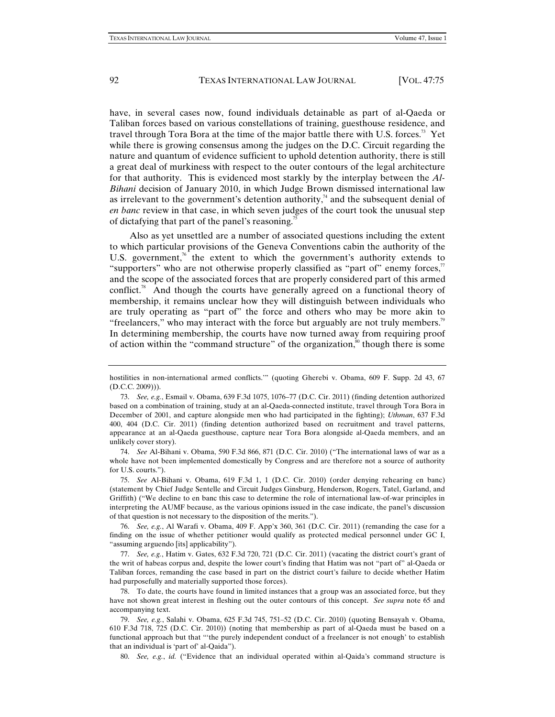have, in several cases now, found individuals detainable as part of al-Qaeda or Taliban forces based on various constellations of training, guesthouse residence, and travel through Tora Bora at the time of the major battle there with U.S. forces.<sup>73</sup> Yet while there is growing consensus among the judges on the D.C. Circuit regarding the nature and quantum of evidence sufficient to uphold detention authority, there is still a great deal of murkiness with respect to the outer contours of the legal architecture for that authority. This is evidenced most starkly by the interplay between the *Al-Bihani* decision of January 2010, in which Judge Brown dismissed international law as irrelevant to the government's detention authority, $\lambda^4$  and the subsequent denial of *en banc* review in that case, in which seven judges of the court took the unusual step of dictafying that part of the panel's reasoning.<sup>75</sup>

Also as yet unsettled are a number of associated questions including the extent to which particular provisions of the Geneva Conventions cabin the authority of the U.S. government,<sup>76</sup> the extent to which the government's authority extends to "supporters" who are not otherwise properly classified as "part of" enemy forces,<sup>7</sup> and the scope of the associated forces that are properly considered part of this armed conflict.<sup>78</sup> And though the courts have generally agreed on a functional theory of membership, it remains unclear how they will distinguish between individuals who are truly operating as "part of" the force and others who may be more akin to "freelancers," who may interact with the force but arguably are not truly members. $<sup>79</sup>$ </sup> In determining membership, the courts have now turned away from requiring proof of action within the "command structure" of the organization,<sup>80</sup> though there is some

hostilities in non-international armed conflicts.'" (quoting Gherebi v. Obama, 609 F. Supp. 2d 43, 67 (D.C.C. 2009))).

<sup>73.</sup> *See, e.g.*, Esmail v. Obama, 639 F.3d 1075, 1076–77 (D.C. Cir. 2011) (finding detention authorized based on a combination of training, study at an al-Qaeda-connected institute, travel through Tora Bora in December of 2001, and capture alongside men who had participated in the fighting); *Uthman*, 637 F.3d 400, 404 (D.C. Cir. 2011) (finding detention authorized based on recruitment and travel patterns, appearance at an al-Qaeda guesthouse, capture near Tora Bora alongside al-Qaeda members, and an unlikely cover story).

<sup>74.</sup> *See* Al-Bihani v. Obama, 590 F.3d 866, 871 (D.C. Cir. 2010) ("The international laws of war as a whole have not been implemented domestically by Congress and are therefore not a source of authority for U.S. courts.").

<sup>75.</sup> *See* Al-Bihani v. Obama, 619 F.3d 1, 1 (D.C. Cir. 2010) (order denying rehearing en banc) (statement by Chief Judge Sentelle and Circuit Judges Ginsburg, Henderson, Rogers, Tatel, Garland, and Griffith) ("We decline to en banc this case to determine the role of international law-of-war principles in interpreting the AUMF because, as the various opinions issued in the case indicate, the panel's discussion of that question is not necessary to the disposition of the merits.").

<sup>76.</sup> *See, e.g.*, Al Warafi v. Obama, 409 F. App'x 360, 361 (D.C. Cir. 2011) (remanding the case for a finding on the issue of whether petitioner would qualify as protected medical personnel under GC I, "assuming arguendo [its] applicability").

<sup>77.</sup> *See, e.g.*, Hatim v. Gates, 632 F.3d 720, 721 (D.C. Cir. 2011) (vacating the district court's grant of the writ of habeas corpus and, despite the lower court's finding that Hatim was not "part of" al-Qaeda or Taliban forces, remanding the case based in part on the district court's failure to decide whether Hatim had purposefully and materially supported those forces).

<sup>78.</sup> To date, the courts have found in limited instances that a group was an associated force, but they have not shown great interest in fleshing out the outer contours of this concept. *See supra* note 65 and accompanying text.

<sup>79.</sup> *See, e.g.*, Salahi v. Obama, 625 F.3d 745, 751–52 (D.C. Cir. 2010) (quoting Bensayah v. Obama, 610 F.3d 718, 725 (D.C. Cir. 2010)) (noting that membership as part of al-Qaeda must be based on a functional approach but that "'the purely independent conduct of a freelancer is not enough' to establish that an individual is 'part of' al-Qaida").

<sup>80.</sup> *See, e.g.*, *id.* ("Evidence that an individual operated within al-Qaida's command structure is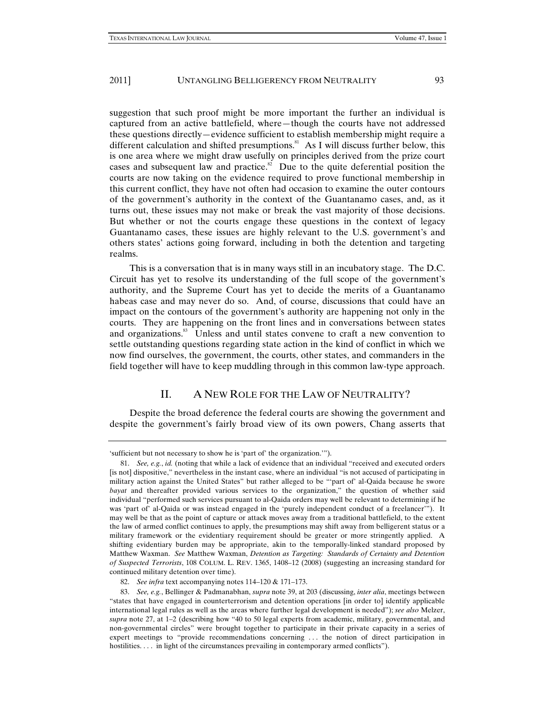suggestion that such proof might be more important the further an individual is captured from an active battlefield, where—though the courts have not addressed these questions directly—evidence sufficient to establish membership might require a different calculation and shifted presumptions.<sup>81</sup> As I will discuss further below, this is one area where we might draw usefully on principles derived from the prize court cases and subsequent law and practice. $\sum_{n=1}^{\infty}$  Due to the quite deferential position the courts are now taking on the evidence required to prove functional membership in this current conflict, they have not often had occasion to examine the outer contours of the government's authority in the context of the Guantanamo cases, and, as it turns out, these issues may not make or break the vast majority of those decisions. But whether or not the courts engage these questions in the context of legacy Guantanamo cases, these issues are highly relevant to the U.S. government's and others states' actions going forward, including in both the detention and targeting realms.

This is a conversation that is in many ways still in an incubatory stage. The D.C. Circuit has yet to resolve its understanding of the full scope of the government's authority, and the Supreme Court has yet to decide the merits of a Guantanamo habeas case and may never do so. And, of course, discussions that could have an impact on the contours of the government's authority are happening not only in the courts. They are happening on the front lines and in conversations between states and organizations.<sup>83</sup> Unless and until states convene to craft a new convention to settle outstanding questions regarding state action in the kind of conflict in which we now find ourselves, the government, the courts, other states, and commanders in the field together will have to keep muddling through in this common law-type approach.

# II. A NEW ROLE FOR THE LAW OF NEUTRALITY?

Despite the broad deference the federal courts are showing the government and despite the government's fairly broad view of its own powers, Chang asserts that

<sup>&#</sup>x27;sufficient but not necessary to show he is 'part of' the organization.'").

<sup>81.</sup> *See, e.g.*, *id.* (noting that while a lack of evidence that an individual "received and executed orders [is not] dispositive," nevertheless in the instant case, where an individual "is not accused of participating in military action against the United States" but rather alleged to be "'part of' al-Qaida because he swore *bayat* and thereafter provided various services to the organization," the question of whether said individual "performed such services pursuant to al-Qaida orders may well be relevant to determining if he was 'part of' al-Qaida or was instead engaged in the 'purely independent conduct of a freelancer'"). It may well be that as the point of capture or attack moves away from a traditional battlefield, to the extent the law of armed conflict continues to apply, the presumptions may shift away from belligerent status or a military framework or the evidentiary requirement should be greater or more stringently applied. A shifting evidentiary burden may be appropriate, akin to the temporally-linked standard proposed by Matthew Waxman. *See* Matthew Waxman, *Detention as Targeting: Standards of Certainty and Detention of Suspected Terrorists*, 108 COLUM. L. REV. 1365, 1408–12 (2008) (suggesting an increasing standard for continued military detention over time).

<sup>82.</sup> *See infra* text accompanying notes 114–120 & 171–173.

<sup>83.</sup> *See, e.g.*, Bellinger & Padmanabhan, *supra* note 39, at 203 (discussing, *inter alia*, meetings between "states that have engaged in counterterrorism and detention operations [in order to] identify applicable international legal rules as well as the areas where further legal development is needed"); *see also* Melzer, *supra* note 27, at 1–2 (describing how "40 to 50 legal experts from academic, military, governmental, and non-governmental circles" were brought together to participate in their private capacity in a series of expert meetings to "provide recommendations concerning . . . the notion of direct participation in hostilities. . . . in light of the circumstances prevailing in contemporary armed conflicts").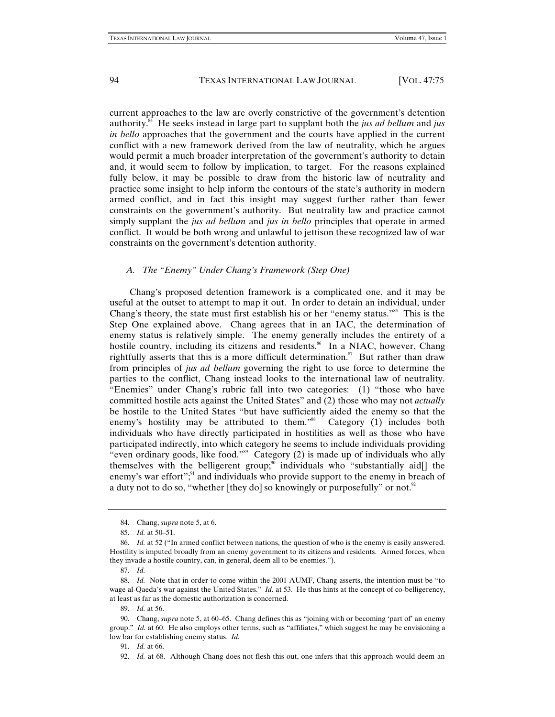current approaches to the law are overly constrictive of the government's detention authority.84 He seeks instead in large part to supplant both the *jus ad bellum* and *jus in bello* approaches that the government and the courts have applied in the current conflict with a new framework derived from the law of neutrality, which he argues would permit a much broader interpretation of the government's authority to detain and, it would seem to follow by implication, to target. For the reasons explained fully below, it may be possible to draw from the historic law of neutrality and practice some insight to help inform the contours of the state's authority in modern armed conflict, and in fact this insight may suggest further rather than fewer constraints on the government's authority. But neutrality law and practice cannot simply supplant the *jus ad bellum* and *jus in bello* principles that operate in armed conflict. It would be both wrong and unlawful to jettison these recognized law of war constraints on the government's detention authority.

#### *A. The "Enemy" Under Chang's Framework (Step One)*

Chang's proposed detention framework is a complicated one, and it may be useful at the outset to attempt to map it out. In order to detain an individual, under Chang's theory, the state must first establish his or her "enemy status."85 This is the Step One explained above. Chang agrees that in an IAC, the determination of enemy status is relatively simple. The enemy generally includes the entirety of a hostile country, including its citizens and residents.<sup>86</sup> In a NIAC, however, Chang rightfully asserts that this is a more difficult determination.<sup>87</sup> But rather than draw from principles of *jus ad bellum* governing the right to use force to determine the parties to the conflict, Chang instead looks to the international law of neutrality. "Enemies" under Chang's rubric fall into two categories: (1) "those who have committed hostile acts against the United States" and (2) those who may not *actually* be hostile to the United States "but have sufficiently aided the enemy so that the enemy's hostility may be attributed to them."<sup>88</sup> Category (1) includes both individuals who have directly participated in hostilities as well as those who have participated indirectly, into which category he seems to include individuals providing "even ordinary goods, like food."<sup>89</sup> Category  $(2)$  is made up of individuals who ally themselves with the belligerent group;<sup>90</sup> individuals who "substantially aid[] the enemy's war effort";<sup>91</sup> and individuals who provide support to the enemy in breach of a duty not to do so, "whether [they do] so knowingly or purposefully" or not.<sup>92</sup>

<sup>84.</sup> Chang, *supra* note 5, at 6.

<sup>85.</sup> *Id.* at 50–51.

<sup>86.</sup> *Id.* at 52 ("In armed conflict between nations, the question of who is the enemy is easily answered. Hostility is imputed broadly from an enemy government to its citizens and residents. Armed forces, when they invade a hostile country, can, in general, deem all to be enemies.").

<sup>87.</sup> *Id.* 

<sup>88.</sup> *Id.* Note that in order to come within the 2001 AUMF, Chang asserts, the intention must be "to wage al-Qaeda's war against the United States." *Id.* at 53*.* He thus hints at the concept of co-belligerency, at least as far as the domestic authorization is concerned.

<sup>89.</sup> *Id.* at 56.

<sup>90.</sup> Chang, *supra* note 5, at 60–65. Chang defines this as "joining with or becoming 'part of' an enemy group." *Id.* at 60. He also employs other terms, such as "affiliates," which suggest he may be envisioning a low bar for establishing enemy status. *Id.*

<sup>91.</sup> *Id.* at 66.

<sup>92.</sup> *Id.* at 68. Although Chang does not flesh this out, one infers that this approach would deem an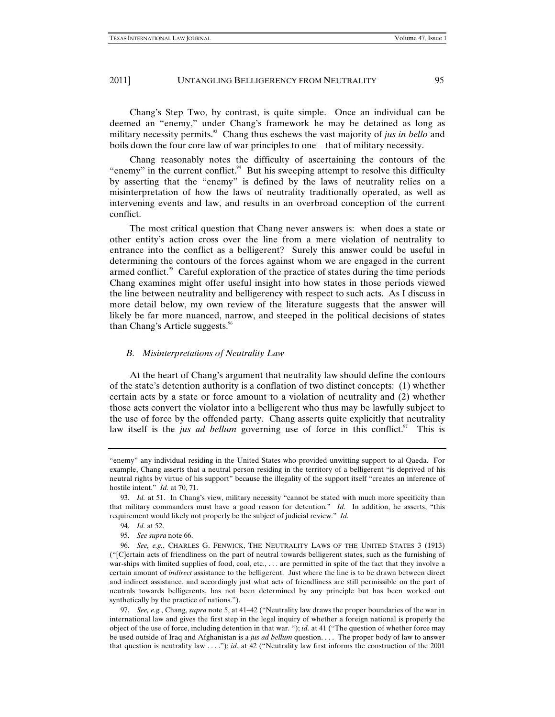Chang's Step Two, by contrast, is quite simple. Once an individual can be deemed an "enemy," under Chang's framework he may be detained as long as military necessity permits.<sup>93</sup> Chang thus eschews the vast majority of *jus in bello* and boils down the four core law of war principles to one—that of military necessity.

Chang reasonably notes the difficulty of ascertaining the contours of the "enemy" in the current conflict. $94$  But his sweeping attempt to resolve this difficulty by asserting that the "enemy" is defined by the laws of neutrality relies on a misinterpretation of how the laws of neutrality traditionally operated, as well as intervening events and law, and results in an overbroad conception of the current conflict.

The most critical question that Chang never answers is: when does a state or other entity's action cross over the line from a mere violation of neutrality to entrance into the conflict as a belligerent? Surely this answer could be useful in determining the contours of the forces against whom we are engaged in the current armed conflict.<sup>95</sup> Careful exploration of the practice of states during the time periods Chang examines might offer useful insight into how states in those periods viewed the line between neutrality and belligerency with respect to such acts. As I discuss in more detail below, my own review of the literature suggests that the answer will likely be far more nuanced, narrow, and steeped in the political decisions of states than Chang's Article suggests.<sup>96</sup>

#### *B. Misinterpretations of Neutrality Law*

At the heart of Chang's argument that neutrality law should define the contours of the state's detention authority is a conflation of two distinct concepts: (1) whether certain acts by a state or force amount to a violation of neutrality and (2) whether those acts convert the violator into a belligerent who thus may be lawfully subject to the use of force by the offended party. Chang asserts quite explicitly that neutrality law itself is the *jus ad bellum* governing use of force in this conflict.<sup>97</sup> This is

<sup>&</sup>quot;enemy" any individual residing in the United States who provided unwitting support to al-Qaeda. For example, Chang asserts that a neutral person residing in the territory of a belligerent "is deprived of his neutral rights by virtue of his support" because the illegality of the support itself "creates an inference of hostile intent." *Id.* at 70, 71.

<sup>93.</sup> *Id.* at 51. In Chang's view, military necessity "cannot be stated with much more specificity than that military commanders must have a good reason for detention*.*" *Id.* In addition, he asserts, "this requirement would likely not properly be the subject of judicial review." *Id.*

<sup>94.</sup> *Id.* at 52.

<sup>95.</sup> *See supra* note 66.

<sup>96.</sup> *See, e.g.*, CHARLES G. FENWICK, THE NEUTRALITY LAWS OF THE UNITED STATES 3 (1913) ("[C]ertain acts of friendliness on the part of neutral towards belligerent states, such as the furnishing of war-ships with limited supplies of food, coal, etc., ... are permitted in spite of the fact that they involve a certain amount of *indirect* assistance to the belligerent. Just where the line is to be drawn between direct and indirect assistance, and accordingly just what acts of friendliness are still permissible on the part of neutrals towards belligerents, has not been determined by any principle but has been worked out synthetically by the practice of nations.").

<sup>97.</sup> *See, e.g.*, Chang, *supra* note 5, at 41–42 ("Neutrality law draws the proper boundaries of the war in international law and gives the first step in the legal inquiry of whether a foreign national is properly the object of the use of force, including detention in that war. "); *id.* at 41 ("The question of whether force may be used outside of Iraq and Afghanistan is a *jus ad bellum* question. . . . The proper body of law to answer that question is neutrality law . . . ."); *id.* at 42 ("Neutrality law first informs the construction of the 2001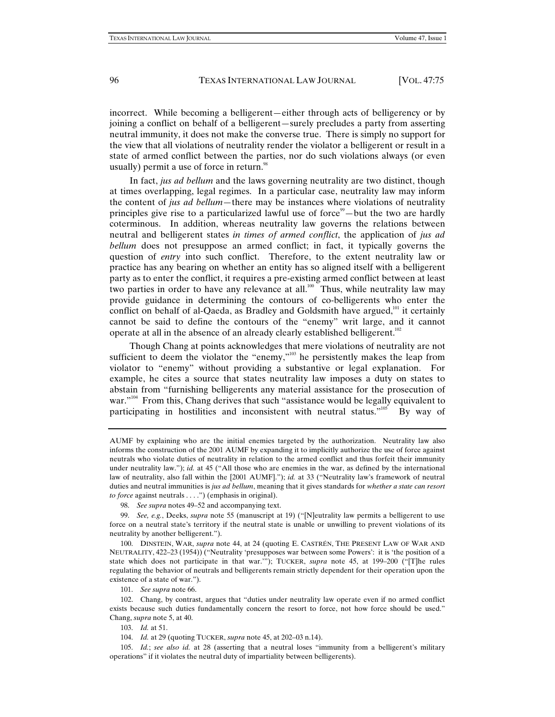incorrect. While becoming a belligerent—either through acts of belligerency or by joining a conflict on behalf of a belligerent—surely precludes a party from asserting neutral immunity, it does not make the converse true. There is simply no support for the view that all violations of neutrality render the violator a belligerent or result in a state of armed conflict between the parties, nor do such violations always (or even usually) permit a use of force in return.<sup>98</sup>

In fact, *jus ad bellum* and the laws governing neutrality are two distinct, though at times overlapping, legal regimes. In a particular case, neutrality law may inform the content of *jus ad bellum*—there may be instances where violations of neutrality principles give rise to a particularized lawful use of force<sup>99</sup>—but the two are hardly coterminous. In addition, whereas neutrality law governs the relations between neutral and belligerent states *in times of armed conflict*, the application of *jus ad bellum* does not presuppose an armed conflict; in fact, it typically governs the question of *entry* into such conflict. Therefore, to the extent neutrality law or practice has any bearing on whether an entity has so aligned itself with a belligerent party as to enter the conflict, it requires a pre-existing armed conflict between at least two parties in order to have any relevance at all.<sup>100</sup> Thus, while neutrality law may provide guidance in determining the contours of co-belligerents who enter the conflict on behalf of al-Qaeda, as Bradley and Goldsmith have argued, $101$  it certainly cannot be said to define the contours of the "enemy" writ large, and it cannot operate at all in the absence of an already clearly established belligerent.102

Though Chang at points acknowledges that mere violations of neutrality are not sufficient to deem the violator the "enemy,"<sup>103</sup> he persistently makes the leap from violator to "enemy" without providing a substantive or legal explanation. For example, he cites a source that states neutrality law imposes a duty on states to abstain from "furnishing belligerents any material assistance for the prosecution of war."<sup>104</sup> From this, Chang derives that such "assistance would be legally equivalent to participating in hostilities and inconsistent with neutral status."<sup>105</sup> By way of

101. *See supra* note 66.

102. Chang, by contrast, argues that "duties under neutrality law operate even if no armed conflict exists because such duties fundamentally concern the resort to force, not how force should be used." Chang, *supra* note 5, at 40.

103. *Id.* at 51.

104. *Id.* at 29 (quoting TUCKER, *supra* note 45, at 202–03 n.14).

105. *Id.*; *see also id.* at 28 (asserting that a neutral loses "immunity from a belligerent's military operations" if it violates the neutral duty of impartiality between belligerents).

AUMF by explaining who are the initial enemies targeted by the authorization. Neutrality law also informs the construction of the 2001 AUMF by expanding it to implicitly authorize the use of force against neutrals who violate duties of neutrality in relation to the armed conflict and thus forfeit their immunity under neutrality law."); *id.* at 45 ("All those who are enemies in the war, as defined by the international law of neutrality, also fall within the [2001 AUMF]."); *id.* at 33 ("Neutrality law's framework of neutral duties and neutral immunities is *jus ad bellum*, meaning that it gives standards for *whether a state can resort to force* against neutrals . . . .") (emphasis in original).

<sup>98.</sup> *See supra* notes 49–52 and accompanying text.

<sup>99.</sup> *See, e.g.*, Deeks, *supra* note 55 (manuscript at 19) ("[N]eutrality law permits a belligerent to use force on a neutral state's territory if the neutral state is unable or unwilling to prevent violations of its neutrality by another belligerent.").

<sup>100.</sup> DINSTEIN, WAR, *supra* note 44, at 24 (quoting E. CASTRÉN, THE PRESENT LAW OF WAR AND NEUTRALITY, 422–23 (1954)) ("Neutrality 'presupposes war between some Powers': it is 'the position of a state which does not participate in that war.'"); TUCKER, *supra* note 45, at 199–200 ("[T]he rules regulating the behavior of neutrals and belligerents remain strictly dependent for their operation upon the existence of a state of war.").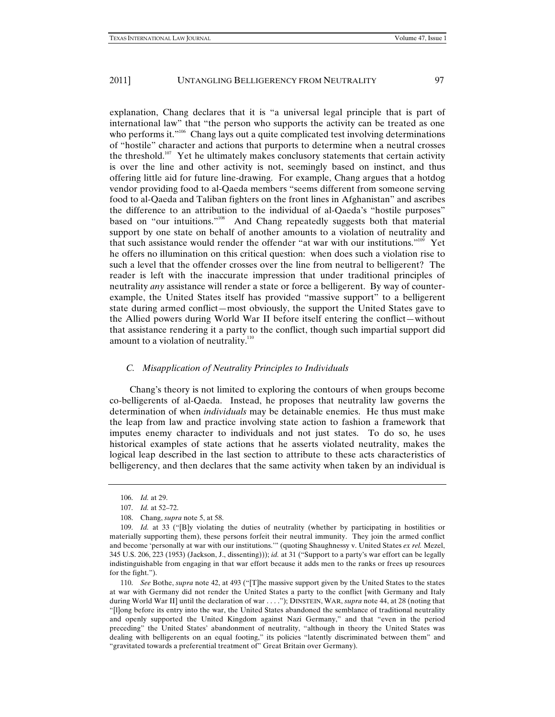explanation, Chang declares that it is "a universal legal principle that is part of international law" that "the person who supports the activity can be treated as one who performs it."<sup>106</sup> Chang lays out a quite complicated test involving determinations of "hostile" character and actions that purports to determine when a neutral crosses the threshold.<sup>107</sup> Yet he ultimately makes conclusory statements that certain activity is over the line and other activity is not, seemingly based on instinct, and thus offering little aid for future line-drawing. For example, Chang argues that a hotdog vendor providing food to al-Qaeda members "seems different from someone serving food to al-Qaeda and Taliban fighters on the front lines in Afghanistan" and ascribes the difference to an attribution to the individual of al-Qaeda's "hostile purposes" based on "our intuitions."108 And Chang repeatedly suggests both that material support by one state on behalf of another amounts to a violation of neutrality and that such assistance would render the offender "at war with our institutions."<sup>109</sup> Yet he offers no illumination on this critical question: when does such a violation rise to such a level that the offender crosses over the line from neutral to belligerent? The reader is left with the inaccurate impression that under traditional principles of neutrality *any* assistance will render a state or force a belligerent. By way of counterexample, the United States itself has provided "massive support" to a belligerent state during armed conflict—most obviously, the support the United States gave to the Allied powers during World War II before itself entering the conflict—without that assistance rendering it a party to the conflict, though such impartial support did amount to a violation of neutrality.<sup>110</sup>

#### *C. Misapplication of Neutrality Principles to Individuals*

Chang's theory is not limited to exploring the contours of when groups become co-belligerents of al-Qaeda. Instead, he proposes that neutrality law governs the determination of when *individuals* may be detainable enemies. He thus must make the leap from law and practice involving state action to fashion a framework that imputes enemy character to individuals and not just states. To do so, he uses historical examples of state actions that he asserts violated neutrality, makes the logical leap described in the last section to attribute to these acts characteristics of belligerency, and then declares that the same activity when taken by an individual is

<sup>106.</sup> *Id.* at 29.

<sup>107.</sup> *Id.* at 52–72.

<sup>108.</sup> Chang, *supra* note 5, at 58.

<sup>109.</sup> *Id.* at 33 ("[B]y violating the duties of neutrality (whether by participating in hostilities or materially supporting them), these persons forfeit their neutral immunity. They join the armed conflict and become 'personally at war with our institutions.'" (quoting Shaughnessy v. United States *ex rel.* Mezel, 345 U.S. 206, 223 (1953) (Jackson, J., dissenting))); *id.* at 31 ("Support to a party's war effort can be legally indistinguishable from engaging in that war effort because it adds men to the ranks or frees up resources for the fight.").

<sup>110.</sup> *See* Bothe, *supra* note 42, at 493 ("[T]he massive support given by the United States to the states at war with Germany did not render the United States a party to the conflict [with Germany and Italy during World War II] until the declaration of war . . . ."); DINSTEIN, WAR, *supra* note 44, at 28 (noting that "[l]ong before its entry into the war, the United States abandoned the semblance of traditional neutrality and openly supported the United Kingdom against Nazi Germany," and that "even in the period preceding" the United States' abandonment of neutrality, "although in theory the United States was dealing with belligerents on an equal footing," its policies "latently discriminated between them" and "gravitated towards a preferential treatment of" Great Britain over Germany).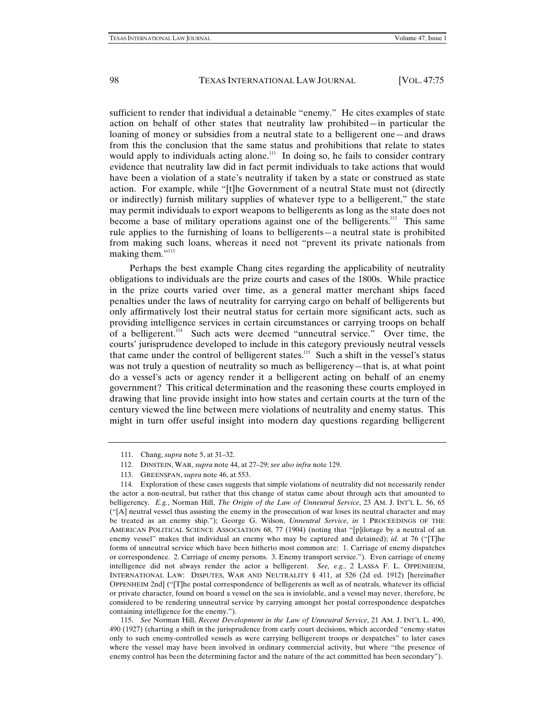sufficient to render that individual a detainable "enemy." He cites examples of state action on behalf of other states that neutrality law prohibited—in particular the loaning of money or subsidies from a neutral state to a belligerent one—and draws from this the conclusion that the same status and prohibitions that relate to states would apply to individuals acting alone.<sup>111</sup> In doing so, he fails to consider contrary evidence that neutrality law did in fact permit individuals to take actions that would have been a violation of a state's neutrality if taken by a state or construed as state action. For example, while "[t]he Government of a neutral State must not (directly or indirectly) furnish military supplies of whatever type to a belligerent," the state may permit individuals to export weapons to belligerents as long as the state does not become a base of military operations against one of the belligerents.<sup>112</sup> This same rule applies to the furnishing of loans to belligerents—a neutral state is prohibited from making such loans, whereas it need not "prevent its private nationals from making them."<sup>113</sup>

Perhaps the best example Chang cites regarding the applicability of neutrality obligations to individuals are the prize courts and cases of the 1800s. While practice in the prize courts varied over time, as a general matter merchant ships faced penalties under the laws of neutrality for carrying cargo on behalf of belligerents but only affirmatively lost their neutral status for certain more significant acts, such as providing intelligence services in certain circumstances or carrying troops on behalf of a belligerent.<sup>114</sup> Such acts were deemed "unneutral service." Over time, the courts' jurisprudence developed to include in this category previously neutral vessels that came under the control of belligerent states.<sup>115</sup> Such a shift in the vessel's status was not truly a question of neutrality so much as belligerency—that is, at what point do a vessel's acts or agency render it a belligerent acting on behalf of an enemy government? This critical determination and the reasoning these courts employed in drawing that line provide insight into how states and certain courts at the turn of the century viewed the line between mere violations of neutrality and enemy status. This might in turn offer useful insight into modern day questions regarding belligerent

115. *See* Norman Hill, *Recent Development in the Law of Unneutral Service*, 21 AM. J. INT'L L. 490, 490 (1927) (charting a shift in the jurisprudence from early court decisions, which accorded "enemy status only to such enemy-controlled vessels as were carrying belligerent troops or despatches" to later cases where the vessel may have been involved in ordinary commercial activity, but where "the presence of enemy control has been the determining factor and the nature of the act committed has been secondary").

<sup>111.</sup> Chang, *supra* note 5, at 31–32.

<sup>112.</sup> DINSTEIN, WAR, *supra* note 44, at 27–29; *see also infra* note 129.

<sup>113.</sup> GREENSPAN, *supra* note 46, at 553.

<sup>114.</sup> Exploration of these cases suggests that simple violations of neutrality did not necessarily render the actor a non-neutral, but rather that this change of status came about through acts that amounted to belligerency. *E.g.*, Norman Hill, *The Origin of the Law of Unneutral Service*, 23 AM. J. INT'L L. 56, 65 ("[A] neutral vessel thus assisting the enemy in the prosecution of war loses its neutral character and may be treated as an enemy ship."); George G. Wilson, *Unneutral Service*, *in* 1 PROCEEDINGS OF THE AMERICAN POLITICAL SCIENCE ASSOCIATION 68, 77 (1904) (noting that "[p]ilotage by a neutral of an enemy vessel" makes that individual an enemy who may be captured and detained); *id.* at 76 ("[T]he forms of unneutral service which have been hitherto most common are: 1. Carriage of enemy dispatches or correspondence. 2. Carriage of enemy persons. 3. Enemy transport service."). Even carriage of enemy intelligence did not always render the actor a belligerent. *See, e.g.*, 2 LASSA F. L. OPPENHEIM, INTERNATIONAL LAW: DISPUTES, WAR AND NEUTRALITY § 411, at 526 (2d ed. 1912) [hereinafter OPPENHEIM 2nd] ("[T]he postal correspondence of belligerents as well as of neutrals, whatever its official or private character, found on board a vessel on the sea is inviolable, and a vessel may never, therefore, be considered to be rendering unneutral service by carrying amongst her postal correspondence despatches containing intelligence for the enemy.").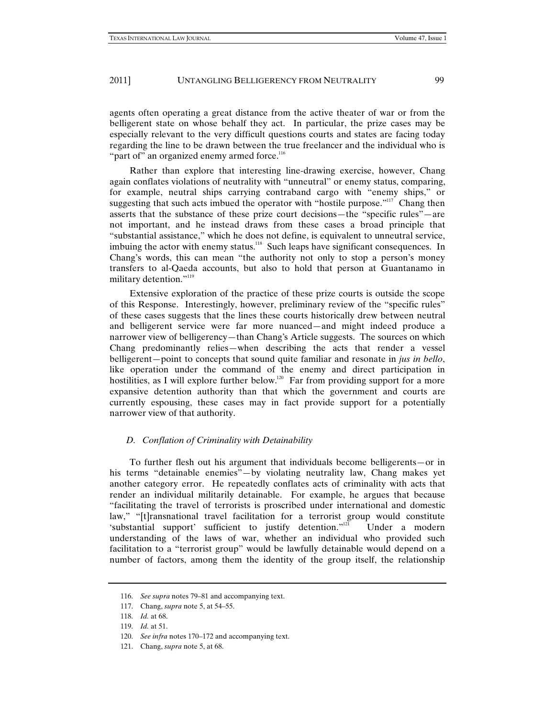agents often operating a great distance from the active theater of war or from the belligerent state on whose behalf they act. In particular, the prize cases may be especially relevant to the very difficult questions courts and states are facing today regarding the line to be drawn between the true freelancer and the individual who is "part of" an organized enemy armed force.<sup>116</sup>

Rather than explore that interesting line-drawing exercise, however, Chang again conflates violations of neutrality with "unneutral" or enemy status, comparing, for example, neutral ships carrying contraband cargo with "enemy ships," or suggesting that such acts imbued the operator with "hostile purpose."<sup>117</sup> Chang then asserts that the substance of these prize court decisions—the "specific rules"—are not important, and he instead draws from these cases a broad principle that "substantial assistance," which he does not define, is equivalent to unneutral service, imbuing the actor with enemy status.<sup>118</sup> Such leaps have significant consequences. In Chang's words, this can mean "the authority not only to stop a person's money transfers to al-Qaeda accounts, but also to hold that person at Guantanamo in military detention."<sup>119</sup>

Extensive exploration of the practice of these prize courts is outside the scope of this Response. Interestingly, however, preliminary review of the "specific rules" of these cases suggests that the lines these courts historically drew between neutral and belligerent service were far more nuanced—and might indeed produce a narrower view of belligerency—than Chang's Article suggests. The sources on which Chang predominantly relies—when describing the acts that render a vessel belligerent—point to concepts that sound quite familiar and resonate in *jus in bello*, like operation under the command of the enemy and direct participation in hostilities, as I will explore further below.<sup>120</sup> Far from providing support for a more expansive detention authority than that which the government and courts are currently espousing, these cases may in fact provide support for a potentially narrower view of that authority.

#### *D. Conflation of Criminality with Detainability*

To further flesh out his argument that individuals become belligerents—or in his terms "detainable enemies"—by violating neutrality law, Chang makes yet another category error. He repeatedly conflates acts of criminality with acts that render an individual militarily detainable. For example, he argues that because "facilitating the travel of terrorists is proscribed under international and domestic law," "[t]ransnational travel facilitation for a terrorist group would constitute 'substantial support' sufficient to justify detention."<sup>121</sup> Under a modern understanding of the laws of war, whether an individual who provided such facilitation to a "terrorist group" would be lawfully detainable would depend on a number of factors, among them the identity of the group itself, the relationship

<sup>116.</sup> *See supra* notes 79–81 and accompanying text.

<sup>117.</sup> Chang, *supra* note 5, at 54–55.

<sup>118.</sup> *Id.* at 68.

<sup>119.</sup> *Id.* at 51.

<sup>120.</sup> *See infra* notes 170–172 and accompanying text.

<sup>121.</sup> Chang, *supra* note 5, at 68.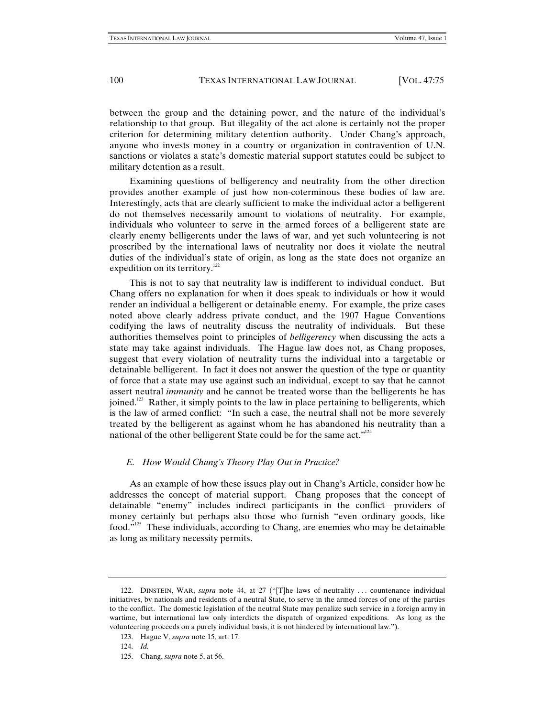between the group and the detaining power, and the nature of the individual's relationship to that group. But illegality of the act alone is certainly not the proper criterion for determining military detention authority. Under Chang's approach, anyone who invests money in a country or organization in contravention of U.N. sanctions or violates a state's domestic material support statutes could be subject to military detention as a result.

Examining questions of belligerency and neutrality from the other direction provides another example of just how non-coterminous these bodies of law are. Interestingly, acts that are clearly sufficient to make the individual actor a belligerent do not themselves necessarily amount to violations of neutrality. For example, individuals who volunteer to serve in the armed forces of a belligerent state are clearly enemy belligerents under the laws of war, and yet such volunteering is not proscribed by the international laws of neutrality nor does it violate the neutral duties of the individual's state of origin, as long as the state does not organize an expedition on its territory.<sup>122</sup>

This is not to say that neutrality law is indifferent to individual conduct. But Chang offers no explanation for when it does speak to individuals or how it would render an individual a belligerent or detainable enemy. For example, the prize cases noted above clearly address private conduct, and the 1907 Hague Conventions codifying the laws of neutrality discuss the neutrality of individuals. But these authorities themselves point to principles of *belligerency* when discussing the acts a state may take against individuals. The Hague law does not, as Chang proposes, suggest that every violation of neutrality turns the individual into a targetable or detainable belligerent. In fact it does not answer the question of the type or quantity of force that a state may use against such an individual, except to say that he cannot assert neutral *immunity* and he cannot be treated worse than the belligerents he has joined.<sup>123</sup> Rather, it simply points to the law in place pertaining to belligerents, which is the law of armed conflict: "In such a case, the neutral shall not be more severely treated by the belligerent as against whom he has abandoned his neutrality than a national of the other belligerent State could be for the same act."<sup>124</sup>

# *E. How Would Chang's Theory Play Out in Practice?*

As an example of how these issues play out in Chang's Article, consider how he addresses the concept of material support. Chang proposes that the concept of detainable "enemy" includes indirect participants in the conflict—providers of money certainly but perhaps also those who furnish "even ordinary goods, like food."125 These individuals, according to Chang, are enemies who may be detainable as long as military necessity permits.

<sup>122.</sup> DINSTEIN, WAR, *supra* note 44, at 27 ("[T]he laws of neutrality . . . countenance individual initiatives, by nationals and residents of a neutral State, to serve in the armed forces of one of the parties to the conflict. The domestic legislation of the neutral State may penalize such service in a foreign army in wartime, but international law only interdicts the dispatch of organized expeditions. As long as the volunteering proceeds on a purely individual basis, it is not hindered by international law.").

<sup>123.</sup> Hague V, *supra* note 15, art. 17.

<sup>124.</sup> *Id.*

<sup>125.</sup> Chang, *supra* note 5, at 56.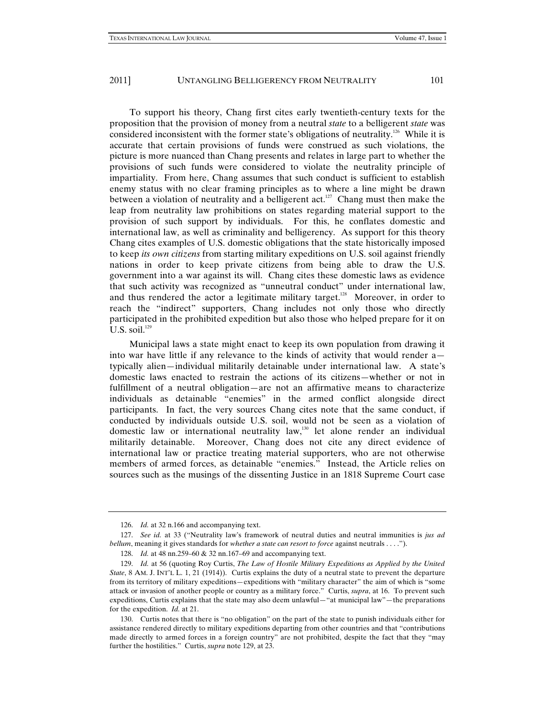To support his theory, Chang first cites early twentieth-century texts for the proposition that the provision of money from a neutral *state* to a belligerent *state* was considered inconsistent with the former state's obligations of neutrality.<sup>126</sup> While it is accurate that certain provisions of funds were construed as such violations, the picture is more nuanced than Chang presents and relates in large part to whether the provisions of such funds were considered to violate the neutrality principle of impartiality. From here, Chang assumes that such conduct is sufficient to establish enemy status with no clear framing principles as to where a line might be drawn between a violation of neutrality and a belligerent act.<sup>127</sup> Chang must then make the leap from neutrality law prohibitions on states regarding material support to the provision of such support by individuals. For this, he conflates domestic and international law, as well as criminality and belligerency. As support for this theory Chang cites examples of U.S. domestic obligations that the state historically imposed to keep *its own citizens* from starting military expeditions on U.S. soil against friendly nations in order to keep private citizens from being able to draw the U.S. government into a war against its will. Chang cites these domestic laws as evidence that such activity was recognized as "unneutral conduct" under international law, and thus rendered the actor a legitimate military target.<sup>128</sup> Moreover, in order to reach the "indirect" supporters, Chang includes not only those who directly participated in the prohibited expedition but also those who helped prepare for it on U.S. soil. $129$ 

Municipal laws a state might enact to keep its own population from drawing it into war have little if any relevance to the kinds of activity that would render a typically alien—individual militarily detainable under international law. A state's domestic laws enacted to restrain the actions of its citizens—whether or not in fulfillment of a neutral obligation—are not an affirmative means to characterize individuals as detainable "enemies" in the armed conflict alongside direct participants. In fact, the very sources Chang cites note that the same conduct, if conducted by individuals outside U.S. soil, would not be seen as a violation of domestic law or international neutrality law,<sup>130</sup> let alone render an individual militarily detainable. Moreover, Chang does not cite any direct evidence of international law or practice treating material supporters, who are not otherwise members of armed forces, as detainable "enemies." Instead, the Article relies on sources such as the musings of the dissenting Justice in an 1818 Supreme Court case

<sup>126.</sup> *Id.* at 32 n.166 and accompanying text.

<sup>127.</sup> *See id.* at 33 ("Neutrality law's framework of neutral duties and neutral immunities is *jus ad bellum*, meaning it gives standards for *whether a state can resort to force* against neutrals . . . .").

<sup>128.</sup> *Id.* at 48 nn.259–60 & 32 nn.167–69 and accompanying text.

<sup>129.</sup> *Id.* at 56 (quoting Roy Curtis, *The Law of Hostile Military Expeditions as Applied by the United State*, 8 AM. J. INT'L L. 1, 21 (1914)). Curtis explains the duty of a neutral state to prevent the departure from its territory of military expeditions—expeditions with "military character" the aim of which is "some attack or invasion of another people or country as a military force." Curtis, *supra*, at 16. To prevent such expeditions, Curtis explains that the state may also deem unlawful—"at municipal law"—the preparations for the expedition. *Id.* at 21.

<sup>130.</sup> Curtis notes that there is "no obligation" on the part of the state to punish individuals either for assistance rendered directly to military expeditions departing from other countries and that "contributions made directly to armed forces in a foreign country" are not prohibited, despite the fact that they "may further the hostilities." Curtis, *supra* note 129, at 23.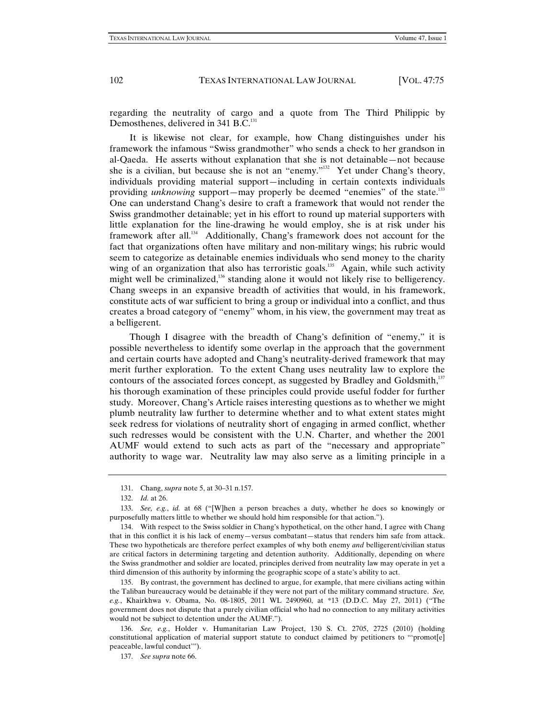regarding the neutrality of cargo and a quote from The Third Philippic by Demosthenes, delivered in 341 B.C.<sup>131</sup>

It is likewise not clear, for example, how Chang distinguishes under his framework the infamous "Swiss grandmother" who sends a check to her grandson in al-Qaeda. He asserts without explanation that she is not detainable—not because she is a civilian, but because she is not an "enemy."<sup>132</sup> Yet under Chang's theory, individuals providing material support—including in certain contexts individuals providing *unknowing* support—may properly be deemed "enemies" of the state.<sup>133</sup> One can understand Chang's desire to craft a framework that would not render the Swiss grandmother detainable; yet in his effort to round up material supporters with little explanation for the line-drawing he would employ, she is at risk under his framework after all.<sup>134</sup> Additionally, Chang's framework does not account for the fact that organizations often have military and non-military wings; his rubric would seem to categorize as detainable enemies individuals who send money to the charity wing of an organization that also has terroristic goals.<sup>135</sup> Again, while such activity might well be criminalized,<sup>136</sup> standing alone it would not likely rise to belligerency. Chang sweeps in an expansive breadth of activities that would, in his framework, constitute acts of war sufficient to bring a group or individual into a conflict, and thus creates a broad category of "enemy" whom, in his view, the government may treat as a belligerent.

Though I disagree with the breadth of Chang's definition of "enemy," it is possible nevertheless to identify some overlap in the approach that the government and certain courts have adopted and Chang's neutrality-derived framework that may merit further exploration. To the extent Chang uses neutrality law to explore the contours of the associated forces concept, as suggested by Bradley and Goldsmith,<sup>137</sup> his thorough examination of these principles could provide useful fodder for further study. Moreover, Chang's Article raises interesting questions as to whether we might plumb neutrality law further to determine whether and to what extent states might seek redress for violations of neutrality short of engaging in armed conflict, whether such redresses would be consistent with the U.N. Charter, and whether the 2001 AUMF would extend to such acts as part of the "necessary and appropriate" authority to wage war. Neutrality law may also serve as a limiting principle in a

<sup>131.</sup> Chang, *supra* note 5, at 30–31 n.157.

<sup>132.</sup> *Id.* at 26.

<sup>133.</sup> *See, e.g.*, *id.* at 68 ("[W]hen a person breaches a duty, whether he does so knowingly or purposefully matters little to whether we should hold him responsible for that action.").

<sup>134.</sup> With respect to the Swiss soldier in Chang's hypothetical, on the other hand, I agree with Chang that in this conflict it is his lack of enemy—versus combatant—status that renders him safe from attack. These two hypotheticals are therefore perfect examples of why both enemy *and* belligerent/civilian status are critical factors in determining targeting and detention authority. Additionally, depending on where the Swiss grandmother and soldier are located, principles derived from neutrality law may operate in yet a third dimension of this authority by informing the geographic scope of a state's ability to act.

<sup>135.</sup> By contrast, the government has declined to argue, for example, that mere civilians acting within the Taliban bureaucracy would be detainable if they were not part of the military command structure. *See, e.g.*, Khairkhwa v. Obama, No. 08-1805, 2011 WL 2490960, at \*13 (D.D.C. May 27, 2011) ("The government does not dispute that a purely civilian official who had no connection to any military activities would not be subject to detention under the AUMF.").

<sup>136.</sup> *See, e.g.*, Holder v. Humanitarian Law Project, 130 S. Ct. 2705, 2725 (2010) (holding constitutional application of material support statute to conduct claimed by petitioners to "'promot[e] peaceable, lawful conduct'").

<sup>137.</sup> *See supra* note 66.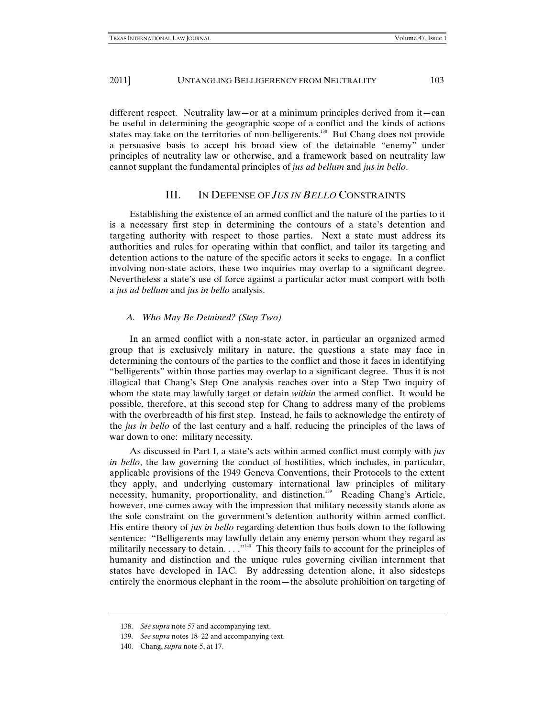different respect. Neutrality law—or at a minimum principles derived from it—can be useful in determining the geographic scope of a conflict and the kinds of actions states may take on the territories of non-belligerents.<sup>138</sup> But Chang does not provide a persuasive basis to accept his broad view of the detainable "enemy" under principles of neutrality law or otherwise, and a framework based on neutrality law cannot supplant the fundamental principles of *jus ad bellum* and *jus in bello*.

# III. IN DEFENSE OF *JUS IN BELLO* CONSTRAINTS

Establishing the existence of an armed conflict and the nature of the parties to it is a necessary first step in determining the contours of a state's detention and targeting authority with respect to those parties. Next a state must address its authorities and rules for operating within that conflict, and tailor its targeting and detention actions to the nature of the specific actors it seeks to engage. In a conflict involving non-state actors, these two inquiries may overlap to a significant degree. Nevertheless a state's use of force against a particular actor must comport with both a *jus ad bellum* and *jus in bello* analysis.

#### *A. Who May Be Detained? (Step Two)*

In an armed conflict with a non-state actor, in particular an organized armed group that is exclusively military in nature, the questions a state may face in determining the contours of the parties to the conflict and those it faces in identifying "belligerents" within those parties may overlap to a significant degree. Thus it is not illogical that Chang's Step One analysis reaches over into a Step Two inquiry of whom the state may lawfully target or detain *within* the armed conflict. It would be possible, therefore, at this second step for Chang to address many of the problems with the overbreadth of his first step. Instead, he fails to acknowledge the entirety of the *jus in bello* of the last century and a half, reducing the principles of the laws of war down to one: military necessity.

As discussed in Part I, a state's acts within armed conflict must comply with *jus in bello*, the law governing the conduct of hostilities, which includes, in particular, applicable provisions of the 1949 Geneva Conventions, their Protocols to the extent they apply, and underlying customary international law principles of military necessity, humanity, proportionality, and distinction.<sup>139</sup> Reading Chang's Article, however, one comes away with the impression that military necessity stands alone as the sole constraint on the government's detention authority within armed conflict. His entire theory of *jus in bello* regarding detention thus boils down to the following sentence: "Belligerents may lawfully detain any enemy person whom they regard as militarily necessary to detain.  $\dots$ <sup>140</sup> This theory fails to account for the principles of humanity and distinction and the unique rules governing civilian internment that states have developed in IAC. By addressing detention alone, it also sidesteps entirely the enormous elephant in the room—the absolute prohibition on targeting of

<sup>138.</sup> *See supra* note 57 and accompanying text.

<sup>139.</sup> *See supra* notes 18–22 and accompanying text.

<sup>140.</sup> Chang, *supra* note 5, at 17.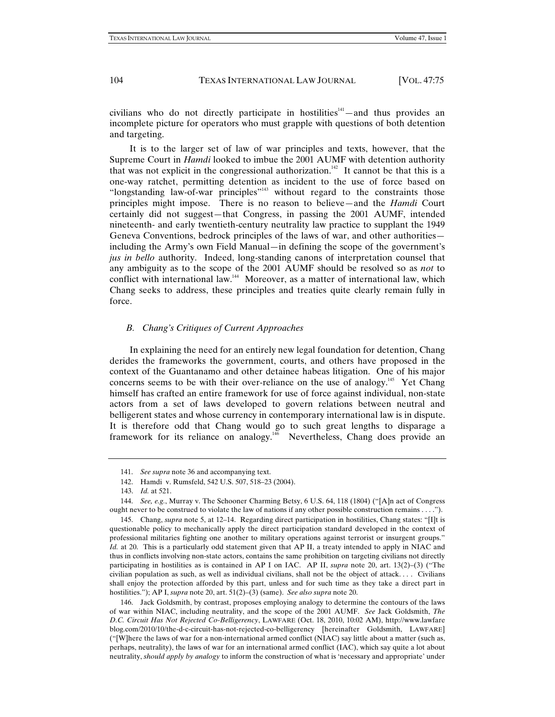civilians who do not directly participate in hostilities<sup> $141$ </sup>—and thus provides an incomplete picture for operators who must grapple with questions of both detention and targeting.

It is to the larger set of law of war principles and texts, however, that the Supreme Court in *Hamdi* looked to imbue the 2001 AUMF with detention authority that was not explicit in the congressional authorization.<sup>142</sup> It cannot be that this is a one-way ratchet, permitting detention as incident to the use of force based on "longstanding law-of-war principles"<sup>143</sup> without regard to the constraints those principles might impose. There is no reason to believe—and the *Hamdi* Court certainly did not suggest—that Congress, in passing the 2001 AUMF, intended nineteenth- and early twentieth-century neutrality law practice to supplant the 1949 Geneva Conventions, bedrock principles of the laws of war, and other authorities including the Army's own Field Manual—in defining the scope of the government's *jus in bello* authority. Indeed, long-standing canons of interpretation counsel that any ambiguity as to the scope of the 2001 AUMF should be resolved so as *not* to conflict with international law.<sup>144</sup> Moreover, as a matter of international law, which Chang seeks to address, these principles and treaties quite clearly remain fully in force.

# *B. Chang's Critiques of Current Approaches*

In explaining the need for an entirely new legal foundation for detention, Chang derides the frameworks the government, courts, and others have proposed in the context of the Guantanamo and other detainee habeas litigation. One of his major concerns seems to be with their over-reliance on the use of analogy.<sup>145</sup> Yet Chang himself has crafted an entire framework for use of force against individual, non-state actors from a set of laws developed to govern relations between neutral and belligerent states and whose currency in contemporary international law is in dispute. It is therefore odd that Chang would go to such great lengths to disparage a framework for its reliance on analogy.<sup>146</sup> Nevertheless, Chang does provide an

146. Jack Goldsmith, by contrast, proposes employing analogy to determine the contours of the laws of war within NIAC, including neutrality, and the scope of the 2001 AUMF. *See* Jack Goldsmith, *The D.C. Circuit Has Not Rejected Co-Belligerency*, LAWFARE (Oct. 18, 2010, 10:02 AM), http://www.lawfare blog.com/2010/10/the-d-c-circuit-has-not-rejected-co-belligerency [hereinafter Goldsmith, LAWFARE] ("[W]here the laws of war for a non-international armed conflict (NIAC) say little about a matter (such as, perhaps, neutrality), the laws of war for an international armed conflict (IAC), which say quite a lot about neutrality, *should apply by analogy* to inform the construction of what is 'necessary and appropriate' under

<sup>141.</sup> *See supra* note 36 and accompanying text.

<sup>142.</sup> Hamdi v. Rumsfeld, 542 U.S. 507, 518–23 (2004).

<sup>143.</sup> *Id.* at 521.

<sup>144.</sup> *See, e.g.*, Murray v. The Schooner Charming Betsy, 6 U.S. 64, 118 (1804) ("[A]n act of Congress ought never to be construed to violate the law of nations if any other possible construction remains . . . .").

<sup>145.</sup> Chang, *supra* note 5, at 12–14. Regarding direct participation in hostilities, Chang states: "[I]t is questionable policy to mechanically apply the direct participation standard developed in the context of professional militaries fighting one another to military operations against terrorist or insurgent groups." *Id.* at 20. This is a particularly odd statement given that AP II, a treaty intended to apply in NIAC and thus in conflicts involving non-state actors, contains the same prohibition on targeting civilians not directly participating in hostilities as is contained in AP I on IAC.AP II, *supra* note 20, art. 13(2)–(3) ("The civilian population as such, as well as individual civilians, shall not be the object of attack. . . . Civilians shall enjoy the protection afforded by this part, unless and for such time as they take a direct part in hostilities."); AP I, *supra* note 20, art. 51(2)–(3) (same). *See also supra* note 20.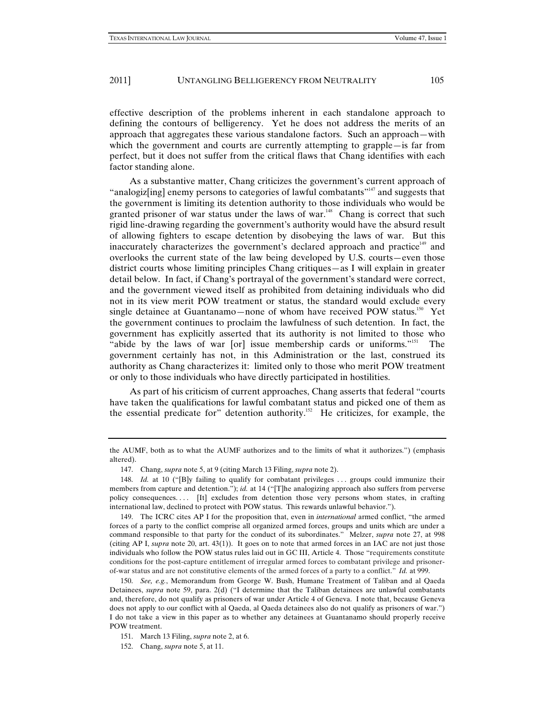effective description of the problems inherent in each standalone approach to defining the contours of belligerency. Yet he does not address the merits of an approach that aggregates these various standalone factors. Such an approach—with which the government and courts are currently attempting to grapple—is far from perfect, but it does not suffer from the critical flaws that Chang identifies with each factor standing alone.

As a substantive matter, Chang criticizes the government's current approach of "analogiz[ing] enemy persons to categories of lawful combatants"<sup>147</sup> and suggests that the government is limiting its detention authority to those individuals who would be granted prisoner of war status under the laws of war.<sup>148</sup> Chang is correct that such rigid line-drawing regarding the government's authority would have the absurd result of allowing fighters to escape detention by disobeying the laws of war. But this inaccurately characterizes the government's declared approach and practice<sup>149</sup> and overlooks the current state of the law being developed by U.S. courts—even those district courts whose limiting principles Chang critiques—as I will explain in greater detail below. In fact, if Chang's portrayal of the government's standard were correct, and the government viewed itself as prohibited from detaining individuals who did not in its view merit POW treatment or status, the standard would exclude every single detainee at Guantanamo—none of whom have received POW status.<sup>150</sup> Yet the government continues to proclaim the lawfulness of such detention. In fact, the government has explicitly asserted that its authority is not limited to those who "abide by the laws of war [or] issue membership cards or uniforms."<sup>151</sup> The government certainly has not, in this Administration or the last, construed its authority as Chang characterizes it: limited only to those who merit POW treatment or only to those individuals who have directly participated in hostilities.

As part of his criticism of current approaches, Chang asserts that federal "courts have taken the qualifications for lawful combatant status and picked one of them as the essential predicate for" detention authority.152 He criticizes, for example, the

the AUMF, both as to what the AUMF authorizes and to the limits of what it authorizes.") (emphasis altered).

<sup>147.</sup> Chang, *supra* note 5, at 9 (citing March 13 Filing, *supra* note 2).

<sup>148.</sup> *Id.* at 10 ("[B]y failing to qualify for combatant privileges ... groups could immunize their members from capture and detention."); *id.* at 14 ("[T]he analogizing approach also suffers from perverse policy consequences.... [It] excludes from detention those very persons whom states, in crafting international law, declined to protect with POW status. This rewards unlawful behavior.").

<sup>149.</sup> The ICRC cites AP I for the proposition that, even in *international* armed conflict, "the armed forces of a party to the conflict comprise all organized armed forces, groups and units which are under a command responsible to that party for the conduct of its subordinates." Melzer, *supra* note 27, at 998 (citing AP I, *supra* note 20, art. 43(1)). It goes on to note that armed forces in an IAC are not just those individuals who follow the POW status rules laid out in GC III, Article 4. Those "requirements constitute conditions for the post-capture entitlement of irregular armed forces to combatant privilege and prisonerof-war status and are not constitutive elements of the armed forces of a party to a conflict." *Id.* at 999.

<sup>150.</sup> *See, e.g.*, Memorandum from George W. Bush, Humane Treatment of Taliban and al Qaeda Detainees, *supra* note 59, para. 2(d) ("I determine that the Taliban detainees are unlawful combatants and, therefore, do not qualify as prisoners of war under Article 4 of Geneva. I note that, because Geneva does not apply to our conflict with al Qaeda, al Qaeda detainees also do not qualify as prisoners of war.") I do not take a view in this paper as to whether any detainees at Guantanamo should properly receive POW treatment.

<sup>151.</sup> March 13 Filing, *supra* note 2, at 6.

<sup>152.</sup> Chang, *supra* note 5, at 11.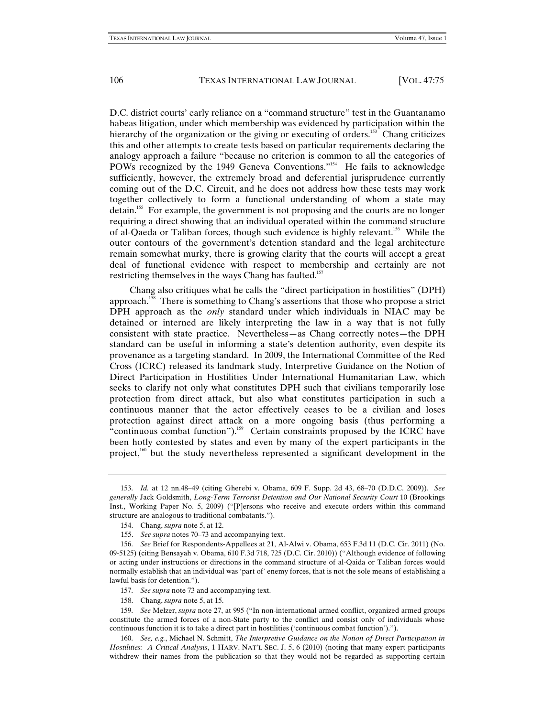D.C. district courts' early reliance on a "command structure" test in the Guantanamo habeas litigation, under which membership was evidenced by participation within the hierarchy of the organization or the giving or executing of orders.<sup>153</sup> Chang criticizes this and other attempts to create tests based on particular requirements declaring the analogy approach a failure "because no criterion is common to all the categories of POWs recognized by the 1949 Geneva Conventions."<sup>154</sup> He fails to acknowledge sufficiently, however, the extremely broad and deferential jurisprudence currently coming out of the D.C. Circuit, and he does not address how these tests may work together collectively to form a functional understanding of whom a state may detain.155 For example, the government is not proposing and the courts are no longer requiring a direct showing that an individual operated within the command structure of al-Qaeda or Taliban forces, though such evidence is highly relevant.<sup>156</sup> While the outer contours of the government's detention standard and the legal architecture remain somewhat murky, there is growing clarity that the courts will accept a great deal of functional evidence with respect to membership and certainly are not restricting themselves in the ways Chang has faulted.<sup>157</sup>

Chang also critiques what he calls the "direct participation in hostilities" (DPH) approach.<sup>158</sup> There is something to Chang's assertions that those who propose a strict DPH approach as the *only* standard under which individuals in NIAC may be detained or interned are likely interpreting the law in a way that is not fully consistent with state practice. Nevertheless—as Chang correctly notes—the DPH standard can be useful in informing a state's detention authority, even despite its provenance as a targeting standard. In 2009, the International Committee of the Red Cross (ICRC) released its landmark study, Interpretive Guidance on the Notion of Direct Participation in Hostilities Under International Humanitarian Law, which seeks to clarify not only what constitutes DPH such that civilians temporarily lose protection from direct attack, but also what constitutes participation in such a continuous manner that the actor effectively ceases to be a civilian and loses protection against direct attack on a more ongoing basis (thus performing a "continuous combat function"). $159$  Certain constraints proposed by the ICRC have been hotly contested by states and even by many of the expert participants in the project,<sup>160</sup> but the study nevertheless represented a significant development in the

157. *See supra* note 73 and accompanying text.

<sup>153.</sup> *Id.* at 12 nn.48–49 (citing Gherebi v. Obama, 609 F. Supp. 2d 43, 68–70 (D.D.C. 2009)). *See generally* Jack Goldsmith, *Long-Term Terrorist Detention and Our National Security Court* 10 (Brookings Inst., Working Paper No. 5, 2009) ("[P]ersons who receive and execute orders within this command structure are analogous to traditional combatants.").

<sup>154.</sup> Chang, *supra* note 5, at 12.

<sup>155.</sup> *See supra* notes 70–73 and accompanying text.

<sup>156.</sup> *See* Brief for Respondents-Appellees at 21, Al-Alwi v. Obama, 653 F.3d 11 (D.C. Cir. 2011) (No. 09-5125) (citing Bensayah v. Obama, 610 F.3d 718, 725 (D.C. Cir. 2010)) ("Although evidence of following or acting under instructions or directions in the command structure of al-Qaida or Taliban forces would normally establish that an individual was 'part of' enemy forces, that is not the sole means of establishing a lawful basis for detention.").

<sup>158.</sup> Chang, *supra* note 5, at 15.

<sup>159.</sup> *See* Melzer, *supra* note 27, at 995 ("In non-international armed conflict, organized armed groups constitute the armed forces of a non-State party to the conflict and consist only of individuals whose continuous function it is to take a direct part in hostilities ('continuous combat function').").

<sup>160.</sup> *See, e.g.*, Michael N. Schmitt, *The Interpretive Guidance on the Notion of Direct Participation in Hostilities: A Critical Analysis*, 1 HARV. NAT'L SEC. J. 5, 6 (2010) (noting that many expert participants withdrew their names from the publication so that they would not be regarded as supporting certain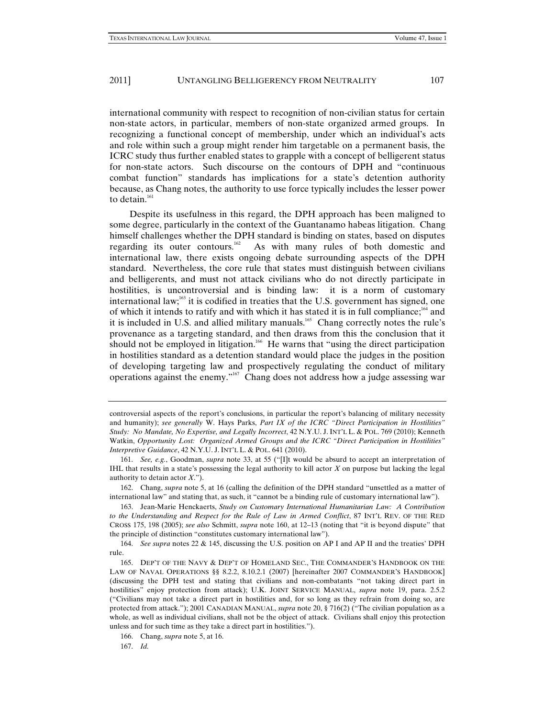international community with respect to recognition of non-civilian status for certain non-state actors, in particular, members of non-state organized armed groups. In recognizing a functional concept of membership, under which an individual's acts and role within such a group might render him targetable on a permanent basis, the ICRC study thus further enabled states to grapple with a concept of belligerent status for non-state actors. Such discourse on the contours of DPH and "continuous combat function" standards has implications for a state's detention authority because, as Chang notes, the authority to use force typically includes the lesser power to detain. $161$ 

Despite its usefulness in this regard, the DPH approach has been maligned to some degree, particularly in the context of the Guantanamo habeas litigation. Chang himself challenges whether the DPH standard is binding on states, based on disputes regarding its outer contours.<sup>162</sup> As with many rules of both domestic and international law, there exists ongoing debate surrounding aspects of the DPH standard. Nevertheless, the core rule that states must distinguish between civilians and belligerents, and must not attack civilians who do not directly participate in hostilities, is uncontroversial and is binding law: it is a norm of customary international law; $\frac{163}{16}$  it is codified in treaties that the U.S. government has signed, one of which it intends to ratify and with which it has stated it is in full compliance;<sup>164</sup> and it is included in U.S. and allied military manuals.<sup>165</sup> Chang correctly notes the rule's provenance as a targeting standard, and then draws from this the conclusion that it should not be employed in litigation.<sup>166</sup> He warns that "using the direct participation in hostilities standard as a detention standard would place the judges in the position of developing targeting law and prospectively regulating the conduct of military operations against the enemy."167 Chang does not address how a judge assessing war

162. Chang, *supra* note 5, at 16 (calling the definition of the DPH standard "unsettled as a matter of international law" and stating that, as such, it "cannot be a binding rule of customary international law").

164. *See supra* notes 22 & 145, discussing the U.S. position on AP I and AP II and the treaties' DPH rule.

167. *Id.*

controversial aspects of the report's conclusions, in particular the report's balancing of military necessity and humanity); *see generally* W. Hays Parks, *Part IX of the ICRC "Direct Participation in Hostilities" Study: No Mandate, No Expertise, and Legally Incorrect*, 42 N.Y.U. J. INT'L L. & POL. 769 (2010); Kenneth Watkin, *Opportunity Lost: Organized Armed Groups and the ICRC "Direct Participation in Hostilities" Interpretive Guidance*, 42 N.Y.U. J. INT'L L. & POL. 641 (2010).

<sup>161.</sup> *See, e.g.*, Goodman, *supra* note 33, at 55 ("[I]t would be absurd to accept an interpretation of IHL that results in a state's possessing the legal authority to kill actor *X* on purpose but lacking the legal authority to detain actor *X*.").

<sup>163.</sup> Jean-Marie Henckaerts, *Study on Customary International Humanitarian Law: A Contribution to the Understanding and Respect for the Rule of Law in Armed Conflict*, 87 INT'L REV. OF THE RED CROSS 175, 198 (2005); *see also* Schmitt, *supra* note 160, at 12–13 (noting that "it is beyond dispute" that the principle of distinction "constitutes customary international law").

<sup>165.</sup> DEP'T OF THE NAVY & DEP'T OF HOMELAND SEC., THE COMMANDER'S HANDBOOK ON THE LAW OF NAVAL OPERATIONS §§ 8.2.2, 8.10.2.1 (2007) [hereinafter 2007 COMMANDER'S HANDBOOK] (discussing the DPH test and stating that civilians and non-combatants "not taking direct part in hostilities" enjoy protection from attack); U.K. JOINT SERVICE MANUAL, *supra* note 19, para. 2.5.2 ("Civilians may not take a direct part in hostilities and, for so long as they refrain from doing so, are protected from attack."); 2001 CANADIAN MANUAL, *supra* note 20, § 716(2) ("The civilian population as a whole, as well as individual civilians, shall not be the object of attack. Civilians shall enjoy this protection unless and for such time as they take a direct part in hostilities.").

<sup>166.</sup> Chang, *supra* note 5, at 16.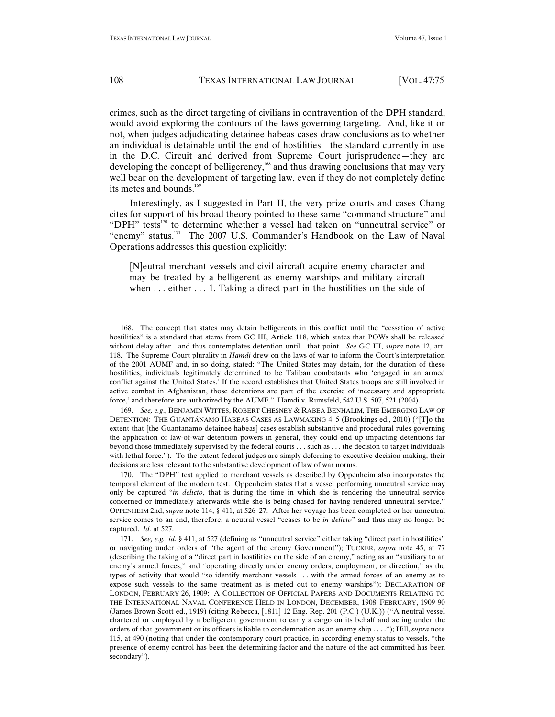crimes, such as the direct targeting of civilians in contravention of the DPH standard, would avoid exploring the contours of the laws governing targeting. And, like it or not, when judges adjudicating detainee habeas cases draw conclusions as to whether an individual is detainable until the end of hostilities—the standard currently in use in the D.C. Circuit and derived from Supreme Court jurisprudence—they are developing the concept of belligerency,<sup>168</sup> and thus drawing conclusions that may very well bear on the development of targeting law, even if they do not completely define its metes and bounds.<sup>169</sup>

Interestingly, as I suggested in Part II, the very prize courts and cases Chang cites for support of his broad theory pointed to these same "command structure" and "DPH" tests<sup>170</sup> to determine whether a vessel had taken on "unneutral service" or "enemy" status.<sup>171</sup> The 2007 U.S. Commander's Handbook on the Law of Naval Operations addresses this question explicitly:

[N]eutral merchant vessels and civil aircraft acquire enemy character and may be treated by a belligerent as enemy warships and military aircraft when  $\dots$  either  $\dots$  1. Taking a direct part in the hostilities on the side of

169. *See, e.g*., BENJAMIN WITTES, ROBERT CHESNEY & RABEA BENHALIM, THE EMERGING LAW OF DETENTION: THE GUANTÁNAMO HABEAS CASES AS LAWMAKING 4–5 (Brookings ed., 2010) ("[T]o the extent that [the Guantanamo detainee habeas] cases establish substantive and procedural rules governing the application of law-of-war detention powers in general, they could end up impacting detentions far beyond those immediately supervised by the federal courts . . . such as . . . the decision to target individuals with lethal force."). To the extent federal judges are simply deferring to executive decision making, their decisions are less relevant to the substantive development of law of war norms.

170. The "DPH" test applied to merchant vessels as described by Oppenheim also incorporates the temporal element of the modern test. Oppenheim states that a vessel performing unneutral service may only be captured "*in delicto*, that is during the time in which she is rendering the unneutral service concerned or immediately afterwards while she is being chased for having rendered unneutral service." OPPENHEIM 2nd, *supra* note 114, § 411, at 526–27. After her voyage has been completed or her unneutral service comes to an end, therefore, a neutral vessel "ceases to be *in delicto*" and thus may no longer be captured. *Id.* at 527.

171. *See, e.g.*, *id.* § 411, at 527 (defining as "unneutral service" either taking "direct part in hostilities" or navigating under orders of "the agent of the enemy Government"); TUCKER, *supra* note 45, at 77 (describing the taking of a "direct part in hostilities on the side of an enemy," acting as an "auxiliary to an enemy's armed forces," and "operating directly under enemy orders, employment, or direction," as the types of activity that would "so identify merchant vessels . . . with the armed forces of an enemy as to expose such vessels to the same treatment as is meted out to enemy warships"); DECLARATION OF LONDON, FEBRUARY 26, 1909: A COLLECTION OF OFFICIAL PAPERS AND DOCUMENTS RELATING TO THE INTERNATIONAL NAVAL CONFERENCE HELD IN LONDON, DECEMBER, 1908–FEBRUARY, 1909 90 (James Brown Scott ed., 1919) (citing Rebecca, [1811] 12 Eng. Rep. 201 (P.C.) (U.K.)) ("A neutral vessel chartered or employed by a belligerent government to carry a cargo on its behalf and acting under the orders of that government or its officers is liable to condemnation as an enemy ship . . . ."); Hill, *supra* note 115, at 490 (noting that under the contemporary court practice, in according enemy status to vessels, "the presence of enemy control has been the determining factor and the nature of the act committed has been secondary").

<sup>168.</sup> The concept that states may detain belligerents in this conflict until the "cessation of active hostilities" is a standard that stems from GC III, Article 118, which states that POWs shall be released without delay after—and thus contemplates detention until—that point. *See* GC III, *supra* note 12, art. 118. The Supreme Court plurality in *Hamdi* drew on the laws of war to inform the Court's interpretation of the 2001 AUMF and, in so doing, stated: "The United States may detain, for the duration of these hostilities, individuals legitimately determined to be Taliban combatants who 'engaged in an armed conflict against the United States.' If the record establishes that United States troops are still involved in active combat in Afghanistan, those detentions are part of the exercise of 'necessary and appropriate force,' and therefore are authorized by the AUMF." Hamdi v. Rumsfeld, 542 U.S. 507, 521 (2004).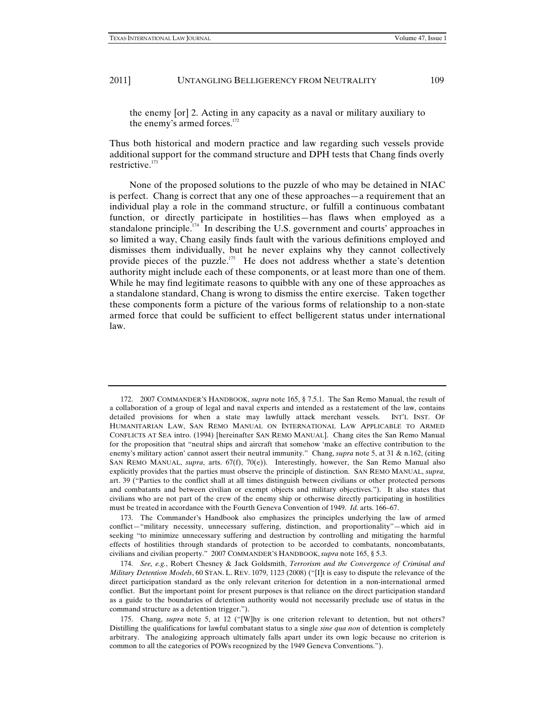the enemy [or] 2. Acting in any capacity as a naval or military auxiliary to the enemy's armed forces. $172$ 

Thus both historical and modern practice and law regarding such vessels provide additional support for the command structure and DPH tests that Chang finds overly restrictive.<sup>173</sup>

None of the proposed solutions to the puzzle of who may be detained in NIAC is perfect. Chang is correct that any one of these approaches—a requirement that an individual play a role in the command structure, or fulfill a continuous combatant function, or directly participate in hostilities—has flaws when employed as a standalone principle.<sup>174</sup> In describing the U.S. government and courts' approaches in so limited a way, Chang easily finds fault with the various definitions employed and dismisses them individually, but he never explains why they cannot collectively provide pieces of the puzzle.175 He does not address whether a state's detention authority might include each of these components, or at least more than one of them. While he may find legitimate reasons to quibble with any one of these approaches as a standalone standard, Chang is wrong to dismiss the entire exercise. Taken together these components form a picture of the various forms of relationship to a non-state armed force that could be sufficient to effect belligerent status under international law.

<sup>172. 2007</sup> COMMANDER'S HANDBOOK, *supra* note 165, § 7.5.1. The San Remo Manual, the result of a collaboration of a group of legal and naval experts and intended as a restatement of the law, contains detailed provisions for when a state may lawfully attack merchant vessels. INT'L INST. OF HUMANITARIAN LAW, SAN REMO MANUAL ON INTERNATIONAL LAW APPLICABLE TO ARMED CONFLICTS AT SEA intro. (1994) [hereinafter SAN REMO MANUAL]. Chang cites the San Remo Manual for the proposition that "neutral ships and aircraft that somehow 'make an effective contribution to the enemy's military action' cannot assert their neutral immunity." Chang, *supra* note 5, at 31 & n.162, (citing SAN REMO MANUAL, *supra*, arts. 67(f), 70(e)). Interestingly, however, the San Remo Manual also explicitly provides that the parties must observe the principle of distinction. SAN REMO MANUAL, *supra*, art. 39 ("Parties to the conflict shall at all times distinguish between civilians or other protected persons and combatants and between civilian or exempt objects and military objectives."). It also states that civilians who are not part of the crew of the enemy ship or otherwise directly participating in hostilities must be treated in accordance with the Fourth Geneva Convention of 1949. *Id.* arts. 166–67.

<sup>173.</sup> The Commander's Handbook also emphasizes the principles underlying the law of armed conflict—"military necessity, unnecessary suffering, distinction, and proportionality"—which aid in seeking "to minimize unnecessary suffering and destruction by controlling and mitigating the harmful effects of hostilities through standards of protection to be accorded to combatants, noncombatants, civilians and civilian property." 2007 COMMANDER'S HANDBOOK, *supra* note 165, § 5.3.

<sup>174.</sup> *See, e.g.*, Robert Chesney & Jack Goldsmith, *Terrorism and the Convergence of Criminal and Military Detention Models*, 60 STAN. L. REV. 1079, 1123 (2008) ("[I]t is easy to dispute the relevance of the direct participation standard as the only relevant criterion for detention in a non-international armed conflict. But the important point for present purposes is that reliance on the direct participation standard as a guide to the boundaries of detention authority would not necessarily preclude use of status in the command structure as a detention trigger.").

<sup>175.</sup> Chang, *supra* note 5, at 12 ("[W]hy is one criterion relevant to detention, but not others? Distilling the qualifications for lawful combatant status to a single *sine qua non* of detention is completely arbitrary. The analogizing approach ultimately falls apart under its own logic because no criterion is common to all the categories of POWs recognized by the 1949 Geneva Conventions.").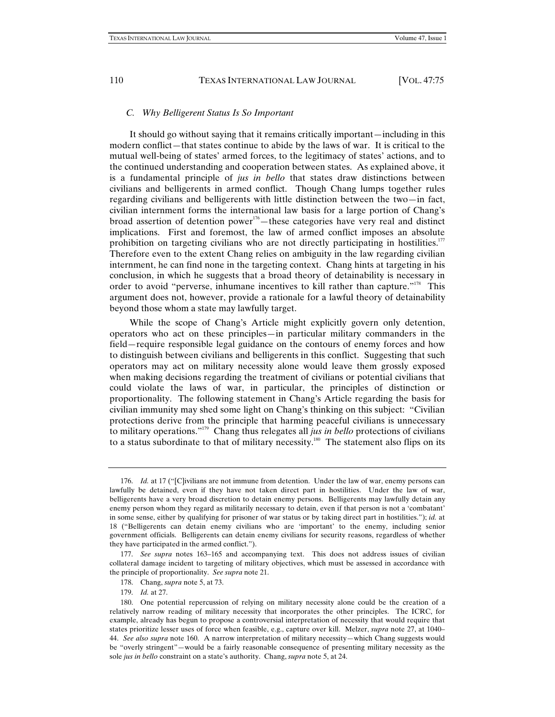### *C. Why Belligerent Status Is So Important*

It should go without saying that it remains critically important—including in this modern conflict—that states continue to abide by the laws of war. It is critical to the mutual well-being of states' armed forces, to the legitimacy of states' actions, and to the continued understanding and cooperation between states. As explained above, it is a fundamental principle of *jus in bello* that states draw distinctions between civilians and belligerents in armed conflict. Though Chang lumps together rules regarding civilians and belligerents with little distinction between the two—in fact, civilian internment forms the international law basis for a large portion of Chang's broad assertion of detention power<sup>176</sup>—these categories have very real and distinct implications. First and foremost, the law of armed conflict imposes an absolute prohibition on targeting civilians who are not directly participating in hostilities. $177$ Therefore even to the extent Chang relies on ambiguity in the law regarding civilian internment, he can find none in the targeting context. Chang hints at targeting in his conclusion, in which he suggests that a broad theory of detainability is necessary in order to avoid "perverse, inhumane incentives to kill rather than capture."<sup>178</sup> This argument does not, however, provide a rationale for a lawful theory of detainability beyond those whom a state may lawfully target.

While the scope of Chang's Article might explicitly govern only detention, operators who act on these principles—in particular military commanders in the field—require responsible legal guidance on the contours of enemy forces and how to distinguish between civilians and belligerents in this conflict. Suggesting that such operators may act on military necessity alone would leave them grossly exposed when making decisions regarding the treatment of civilians or potential civilians that could violate the laws of war, in particular, the principles of distinction or proportionality. The following statement in Chang's Article regarding the basis for civilian immunity may shed some light on Chang's thinking on this subject: "Civilian protections derive from the principle that harming peaceful civilians is unnecessary to military operations."179 Chang thus relegates all *jus in bello* protections of civilians to a status subordinate to that of military necessity.<sup>180</sup> The statement also flips on its

<sup>176.</sup> *Id.* at 17 ("[C]ivilians are not immune from detention. Under the law of war, enemy persons can lawfully be detained, even if they have not taken direct part in hostilities. Under the law of war, belligerents have a very broad discretion to detain enemy persons. Belligerents may lawfully detain any enemy person whom they regard as militarily necessary to detain, even if that person is not a 'combatant' in some sense, either by qualifying for prisoner of war status or by taking direct part in hostilities."); *id.* at 18 ("Belligerents can detain enemy civilians who are 'important' to the enemy, including senior government officials. Belligerents can detain enemy civilians for security reasons, regardless of whether they have participated in the armed conflict.").

<sup>177.</sup> *See supra* notes 163–165 and accompanying text. This does not address issues of civilian collateral damage incident to targeting of military objectives, which must be assessed in accordance with the principle of proportionality. *See supra* note 21.

<sup>178.</sup> Chang, *supra* note 5, at 73.

<sup>179.</sup> *Id.* at 27.

<sup>180.</sup> One potential repercussion of relying on military necessity alone could be the creation of a relatively narrow reading of military necessity that incorporates the other principles. The ICRC, for example, already has begun to propose a controversial interpretation of necessity that would require that states prioritize lesser uses of force when feasible, e.g., capture over kill. Melzer, *supra* note 27, at 1040– 44. *See also supra* note 160. A narrow interpretation of military necessity—which Chang suggests would be "overly stringent"—would be a fairly reasonable consequence of presenting military necessity as the sole *jus in bello* constraint on a state's authority. Chang, *supra* note 5, at 24.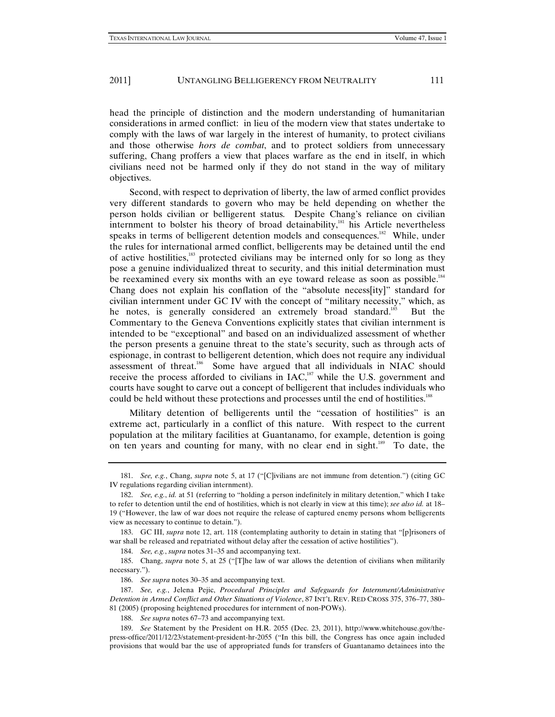head the principle of distinction and the modern understanding of humanitarian considerations in armed conflict: in lieu of the modern view that states undertake to comply with the laws of war largely in the interest of humanity, to protect civilians and those otherwise *hors de combat*, and to protect soldiers from unnecessary suffering, Chang proffers a view that places warfare as the end in itself, in which civilians need not be harmed only if they do not stand in the way of military objectives.

Second, with respect to deprivation of liberty, the law of armed conflict provides very different standards to govern who may be held depending on whether the person holds civilian or belligerent status. Despite Chang's reliance on civilian internment to bolster his theory of broad detainability, $181$  his Article nevertheless speaks in terms of belligerent detention models and consequences.<sup>182</sup> While, under the rules for international armed conflict, belligerents may be detained until the end of active hostilities,<sup>183</sup> protected civilians may be interned only for so long as they pose a genuine individualized threat to security, and this initial determination must be reexamined every six months with an eye toward release as soon as possible.<sup>184</sup> Chang does not explain his conflation of the "absolute necess[ity]" standard for civilian internment under GC IV with the concept of "military necessity," which, as he notes, is generally considered an extremely broad standard.<sup>185</sup> But the Commentary to the Geneva Conventions explicitly states that civilian internment is intended to be "exceptional" and based on an individualized assessment of whether the person presents a genuine threat to the state's security, such as through acts of espionage, in contrast to belligerent detention, which does not require any individual assessment of threat.186 Some have argued that all individuals in NIAC should receive the process afforded to civilians in IAC,<sup>187</sup> while the U.S. government and courts have sought to carve out a concept of belligerent that includes individuals who could be held without these protections and processes until the end of hostilities.<sup>188</sup>

Military detention of belligerents until the "cessation of hostilities" is an extreme act, particularly in a conflict of this nature. With respect to the current population at the military facilities at Guantanamo, for example, detention is going on ten years and counting for many, with no clear end in sight.<sup>189</sup> To date, the

<sup>181.</sup> *See, e.g.*, Chang, *supra* note 5, at 17 ("[C]ivilians are not immune from detention.") (citing GC IV regulations regarding civilian internment).

<sup>182.</sup> *See, e.g.*, *id.* at 51 (referring to "holding a person indefinitely in military detention," which I take to refer to detention until the end of hostilities, which is not clearly in view at this time); *see also id.* at 18– 19 ("However, the law of war does not require the release of captured enemy persons whom belligerents view as necessary to continue to detain.").

<sup>183.</sup> GC III, *supra* note 12, art. 118 (contemplating authority to detain in stating that "[p]risoners of war shall be released and repatriated without delay after the cessation of active hostilities").

<sup>184.</sup> *See, e.g.*, *supra* notes 31–35 and accompanying text.

<sup>185.</sup> Chang, *supra* note 5, at 25 ("[T]he law of war allows the detention of civilians when militarily necessary.").

<sup>186.</sup> *See supra* notes 30–35 and accompanying text.

<sup>187.</sup> *See, e.g.*, Jelena Pejic, *Procedural Principles and Safeguards for Internment/Administrative Detention in Armed Conflict and Other Situations of Violence*, 87 INT'L REV. RED CROSS 375, 376–77, 380– 81 (2005) (proposing heightened procedures for internment of non-POWs).

<sup>188.</sup> *See supra* notes 67–73 and accompanying text.

<sup>189.</sup> *See* Statement by the President on H.R. 2055 (Dec. 23, 2011), http://www.whitehouse.gov/thepress-office/2011/12/23/statement-president-hr-2055 ("In this bill, the Congress has once again included provisions that would bar the use of appropriated funds for transfers of Guantanamo detainees into the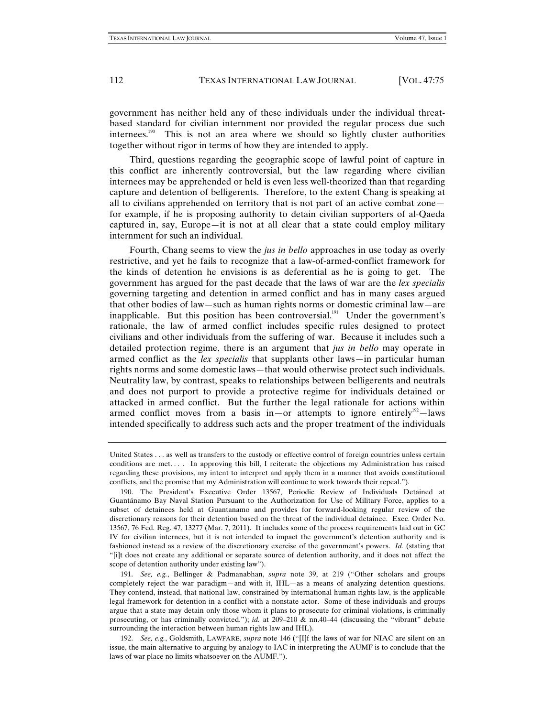government has neither held any of these individuals under the individual threatbased standard for civilian internment nor provided the regular process due such internees. $190$  This is not an area where we should so lightly cluster authorities together without rigor in terms of how they are intended to apply.

Third, questions regarding the geographic scope of lawful point of capture in this conflict are inherently controversial, but the law regarding where civilian internees may be apprehended or held is even less well-theorized than that regarding capture and detention of belligerents. Therefore, to the extent Chang is speaking at all to civilians apprehended on territory that is not part of an active combat zone for example, if he is proposing authority to detain civilian supporters of al-Qaeda captured in, say, Europe—it is not at all clear that a state could employ military internment for such an individual.

Fourth, Chang seems to view the *jus in bello* approaches in use today as overly restrictive, and yet he fails to recognize that a law-of-armed-conflict framework for the kinds of detention he envisions is as deferential as he is going to get. The government has argued for the past decade that the laws of war are the *lex specialis* governing targeting and detention in armed conflict and has in many cases argued that other bodies of law—such as human rights norms or domestic criminal law—are inapplicable. But this position has been controversial.<sup>191</sup> Under the government's rationale, the law of armed conflict includes specific rules designed to protect civilians and other individuals from the suffering of war. Because it includes such a detailed protection regime, there is an argument that *jus in bello* may operate in armed conflict as the *lex specialis* that supplants other laws—in particular human rights norms and some domestic laws—that would otherwise protect such individuals. Neutrality law, by contrast, speaks to relationships between belligerents and neutrals and does not purport to provide a protective regime for individuals detained or attacked in armed conflict. But the further the legal rationale for actions within armed conflict moves from a basis in—or attempts to ignore entirely<sup>192</sup>—laws intended specifically to address such acts and the proper treatment of the individuals

United States . . . as well as transfers to the custody or effective control of foreign countries unless certain conditions are met. . . . In approving this bill, I reiterate the objections my Administration has raised regarding these provisions, my intent to interpret and apply them in a manner that avoids constitutional conflicts, and the promise that my Administration will continue to work towards their repeal.").

<sup>190.</sup> The President's Executive Order 13567, Periodic Review of Individuals Detained at Guantánamo Bay Naval Station Pursuant to the Authorization for Use of Military Force, applies to a subset of detainees held at Guantanamo and provides for forward-looking regular review of the discretionary reasons for their detention based on the threat of the individual detainee. Exec. Order No. 13567, 76 Fed. Reg. 47, 13277 (Mar. 7, 2011). It includes some of the process requirements laid out in GC IV for civilian internees, but it is not intended to impact the government's detention authority and is fashioned instead as a review of the discretionary exercise of the government's powers. *Id.* (stating that "[i]t does not create any additional or separate source of detention authority, and it does not affect the scope of detention authority under existing law").

<sup>191.</sup> *See, e.g.*, Bellinger & Padmanabhan, *supra* note 39, at 219 ("Other scholars and groups completely reject the war paradigm—and with it, IHL—as a means of analyzing detention questions. They contend, instead, that national law, constrained by international human rights law, is the applicable legal framework for detention in a conflict with a nonstate actor. Some of these individuals and groups argue that a state may detain only those whom it plans to prosecute for criminal violations, is criminally prosecuting, or has criminally convicted."); *id.* at 209–210 & nn.40–44 (discussing the "vibrant" debate surrounding the interaction between human rights law and IHL).

<sup>192.</sup> *See, e.g.*, Goldsmith, LAWFARE, *supra* note 146 ("[I]f the laws of war for NIAC are silent on an issue, the main alternative to arguing by analogy to IAC in interpreting the AUMF is to conclude that the laws of war place no limits whatsoever on the AUMF.").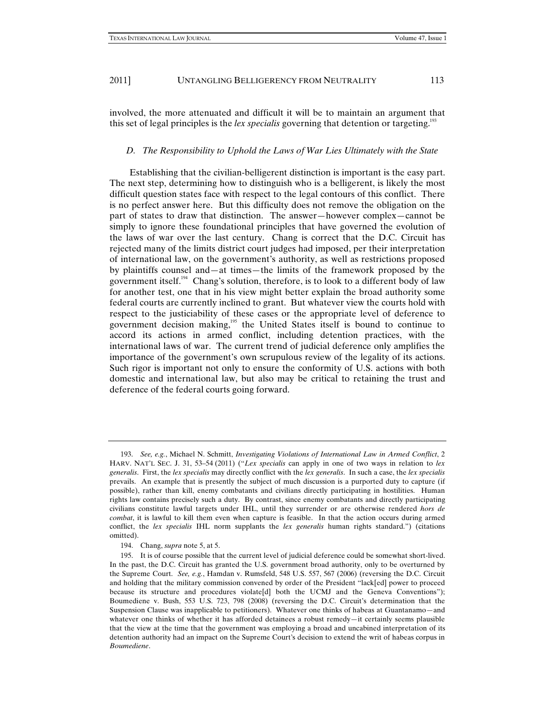involved, the more attenuated and difficult it will be to maintain an argument that this set of legal principles is the *lex specialis* governing that detention or targeting.<sup>193</sup>

#### *D. The Responsibility to Uphold the Laws of War Lies Ultimately with the State*

Establishing that the civilian-belligerent distinction is important is the easy part. The next step, determining how to distinguish who is a belligerent, is likely the most difficult question states face with respect to the legal contours of this conflict. There is no perfect answer here. But this difficulty does not remove the obligation on the part of states to draw that distinction. The answer—however complex—cannot be simply to ignore these foundational principles that have governed the evolution of the laws of war over the last century. Chang is correct that the D.C. Circuit has rejected many of the limits district court judges had imposed, per their interpretation of international law, on the government's authority, as well as restrictions proposed by plaintiffs counsel and—at times—the limits of the framework proposed by the government itself.194 Chang's solution, therefore, is to look to a different body of law for another test, one that in his view might better explain the broad authority some federal courts are currently inclined to grant. But whatever view the courts hold with respect to the justiciability of these cases or the appropriate level of deference to government decision making,<sup>195</sup> the United States itself is bound to continue to accord its actions in armed conflict, including detention practices, with the international laws of war. The current trend of judicial deference only amplifies the importance of the government's own scrupulous review of the legality of its actions. Such rigor is important not only to ensure the conformity of U.S. actions with both domestic and international law, but also may be critical to retaining the trust and deference of the federal courts going forward.

<sup>193.</sup> *See, e.g.*, Michael N. Schmitt, *Investigating Violations of International Law in Armed Conflict*, 2 HARV. NAT'L SEC. J. 31, 53–54 (2011) ("*Lex specialis* can apply in one of two ways in relation to *lex generalis*. First, the *lex specialis* may directly conflict with the *lex generalis*. In such a case, the *lex specialis* prevails. An example that is presently the subject of much discussion is a purported duty to capture (if possible), rather than kill, enemy combatants and civilians directly participating in hostilities. Human rights law contains precisely such a duty. By contrast, since enemy combatants and directly participating civilians constitute lawful targets under IHL, until they surrender or are otherwise rendered *hors de combat*, it is lawful to kill them even when capture is feasible. In that the action occurs during armed conflict, the *lex specialis* IHL norm supplants the *lex generalis* human rights standard.") (citations omitted).

<sup>194.</sup> Chang, *supra* note 5, at 5.

<sup>195.</sup> It is of course possible that the current level of judicial deference could be somewhat short-lived. In the past, the D.C. Circuit has granted the U.S. government broad authority, only to be overturned by the Supreme Court. *See, e.g.*, Hamdan v. Rumsfeld, 548 U.S. 557, 567 (2006) (reversing the D.C. Circuit and holding that the military commission convened by order of the President "lack[ed] power to proceed because its structure and procedures violate[d] both the UCMJ and the Geneva Conventions"); Boumediene v. Bush, 553 U.S. 723, 798 (2008) (reversing the D.C. Circuit's determination that the Suspension Clause was inapplicable to petitioners). Whatever one thinks of habeas at Guantanamo—and whatever one thinks of whether it has afforded detainees a robust remedy—it certainly seems plausible that the view at the time that the government was employing a broad and uncabined interpretation of its detention authority had an impact on the Supreme Court's decision to extend the writ of habeas corpus in *Boumediene*.